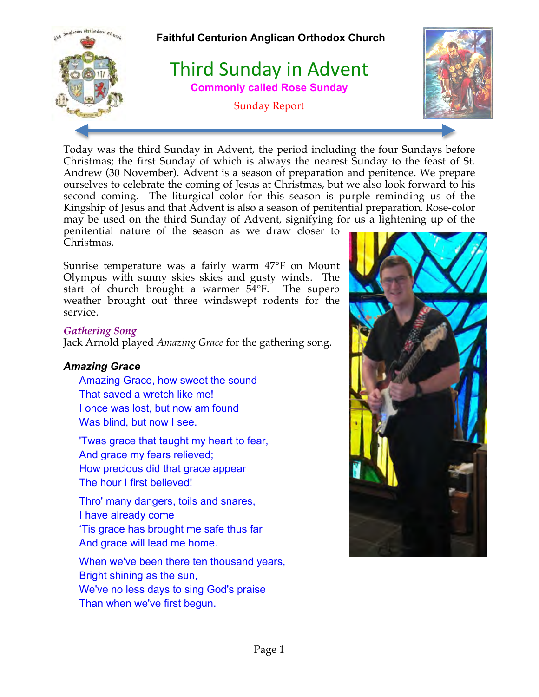

Today was the third Sunday in Advent, the period including the four Sundays before Christmas; the first Sunday of which is always the nearest Sunday to the feast of St. Andrew (30 November). Advent is a season of preparation and penitence. We prepare ourselves to celebrate the coming of Jesus at Christmas, but we also look forward to his second coming. The liturgical color for this season is purple reminding us of the Kingship of Jesus and that Advent is also a season of penitential preparation. Rose-color may be used on the third Sunday of Advent, signifying for us a lightening up of the penitential nature of the season as we draw closer to Christmas.

Sunrise temperature was a fairly warm 47°F on Mount Olympus with sunny skies skies and gusty winds. The start of church brought a warmer 54°F. The superb weather brought out three windswept rodents for the service.

#### *Gathering Song*

Jack Arnold played *Amazing Grace* for the gathering song.

## *Amazing Grace*

Amazing Grace, how sweet the sound That saved a wretch like me! I once was lost, but now am found Was blind, but now I see.

'Twas grace that taught my heart to fear, And grace my fears relieved; How precious did that grace appear The hour I first believed!

Thro' many dangers, toils and snares, I have already come 'Tis grace has brought me safe thus far And grace will lead me home.

When we've been there ten thousand years, Bright shining as the sun, We've no less days to sing God's praise Than when we've first begun.

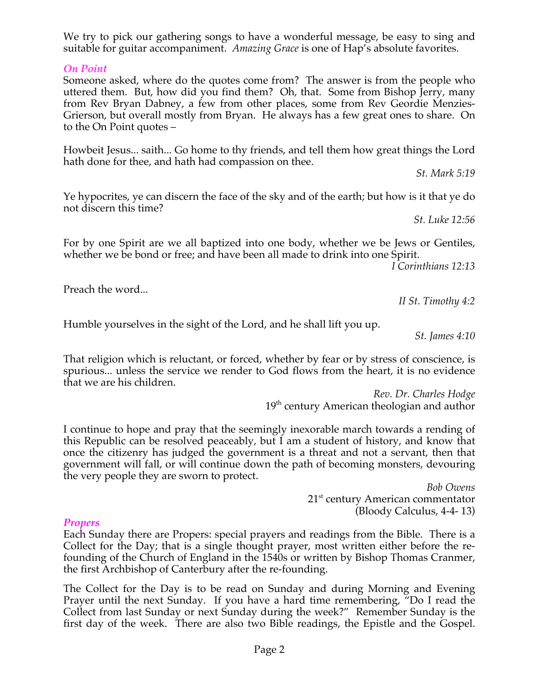We try to pick our gathering songs to have a wonderful message, be easy to sing and suitable for guitar accompaniment. *Amazing Grace* is one of Hap's absolute favorites.

# *On Point*

Someone asked, where do the quotes come from? The answer is from the people who uttered them. But, how did you find them? Oh, that. Some from Bishop Jerry, many from Rev Bryan Dabney, a few from other places, some from Rev Geordie Menzies-Grierson, but overall mostly from Bryan. He always has a few great ones to share. On to the On Point quotes –

Howbeit Jesus... saith... Go home to thy friends, and tell them how great things the Lord hath done for thee, and hath had compassion on thee.

Ye hypocrites, ye can discern the face of the sky and of the earth; but how is it that ye do not discern this time?

*St. Luke 12:56*

*St. Mark 5:19*

For by one Spirit are we all baptized into one body, whether we be Jews or Gentiles, whether we be bond or free; and have been all made to drink into one Spirit.

*I Corinthians 12:13*

*II St. Timothy 4:2*

Preach the word...

Humble yourselves in the sight of the Lord, and he shall lift you up.

*St. James 4:10*

That religion which is reluctant, or forced, whether by fear or by stress of conscience, is spurious... unless the service we render to God flows from the heart, it is no evidence that we are his children.

> *Rev. Dr. Charles Hodge* 19<sup>th</sup> century American theologian and author

I continue to hope and pray that the seemingly inexorable march towards a rending of this Republic can be resolved peaceably, but I am a student of history, and know that once the citizenry has judged the government is a threat and not a servant, then that government will fall, or will continue down the path of becoming monsters, devouring the very people they are sworn to protect.

> *Bob Owens* 21<sup>st</sup> century American commentator (Bloody Calculus, 4-4- 13)

# *Propers*

Each Sunday there are Propers: special prayers and readings from the Bible. There is a Collect for the Day; that is a single thought prayer, most written either before the refounding of the Church of England in the 1540s or written by Bishop Thomas Cranmer, the first Archbishop of Canterbury after the re-founding.

The Collect for the Day is to be read on Sunday and during Morning and Evening Prayer until the next Sunday. If you have a hard time remembering, "Do I read the Collect from last Sunday or next Sunday during the week?" Remember Sunday is the first day of the week. There are also two Bible readings, the Epistle and the Gospel.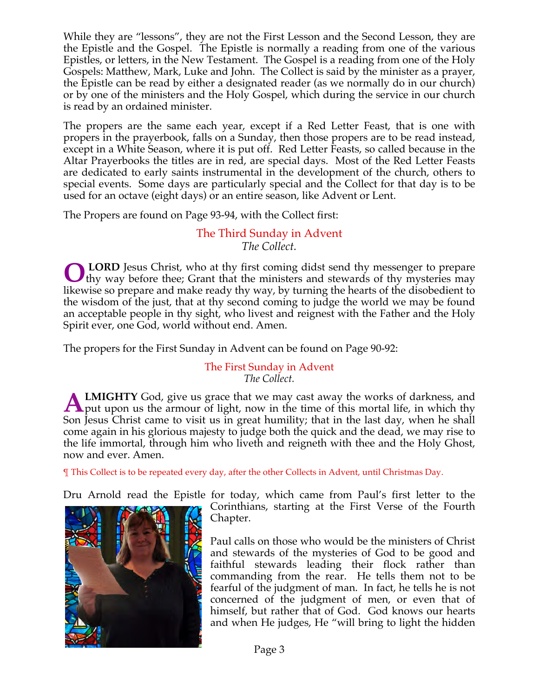While they are "lessons", they are not the First Lesson and the Second Lesson, they are the Epistle and the Gospel. The Epistle is normally a reading from one of the various Epistles, or letters, in the New Testament. The Gospel is a reading from one of the Holy Gospels: Matthew, Mark, Luke and John. The Collect is said by the minister as a prayer, the Epistle can be read by either a designated reader (as we normally do in our church) or by one of the ministers and the Holy Gospel, which during the service in our church is read by an ordained minister.

The propers are the same each year, except if a Red Letter Feast, that is one with propers in the prayerbook, falls on a Sunday, then those propers are to be read instead, except in a White Season, where it is put off. Red Letter Feasts, so called because in the Altar Prayerbooks the titles are in red, are special days. Most of the Red Letter Feasts are dedicated to early saints instrumental in the development of the church, others to special events. Some days are particularly special and the Collect for that day is to be used for an octave (eight days) or an entire season, like Advent or Lent.

The Propers are found on Page 93-94, with the Collect first:

# The Third Sunday in Advent *The Collect.*

**LORD** Jesus Christ, who at thy first coming didst send thy messenger to prepare thy way before thee; Grant that the ministers and stewards of thy mysteries may likewise so prepare and make ready thy way, by turning the hearts of the disobedient to the wisdom of the just, that at thy second coming to judge the world we may be found an acceptable people in thy sight, who livest and reignest with the Father and the Holy Spirit ever, one God, world without end. Amen. **O**

The propers for the First Sunday in Advent can be found on Page 90-92:

The First Sunday in Advent *The Collect.*

**LMIGHTY** God, give us grace that we may cast away the works of darkness, and **A LMIGHTY** God, give us grace that we may cast away the works of darkness, and put upon us the armour of light, now in the time of this mortal life, in which thy Son Jesus Christ came to visit us in great humility; that in the last day, when he shall come again in his glorious majesty to judge both the quick and the dead, we may rise to the life immortal, through him who liveth and reigneth with thee and the Holy Ghost, now and ever. Amen.

¶ This Collect is to be repeated every day, after the other Collects in Advent, until Christmas Day.

Dru Arnold read the Epistle for today, which came from Paul's first letter to the



Corinthians, starting at the First Verse of the Fourth Chapter.

Paul calls on those who would be the ministers of Christ and stewards of the mysteries of God to be good and faithful stewards leading their flock rather than commanding from the rear. He tells them not to be fearful of the judgment of man. In fact, he tells he is not concerned of the judgment of men, or even that of himself, but rather that of God. God knows our hearts and when He judges, He "will bring to light the hidden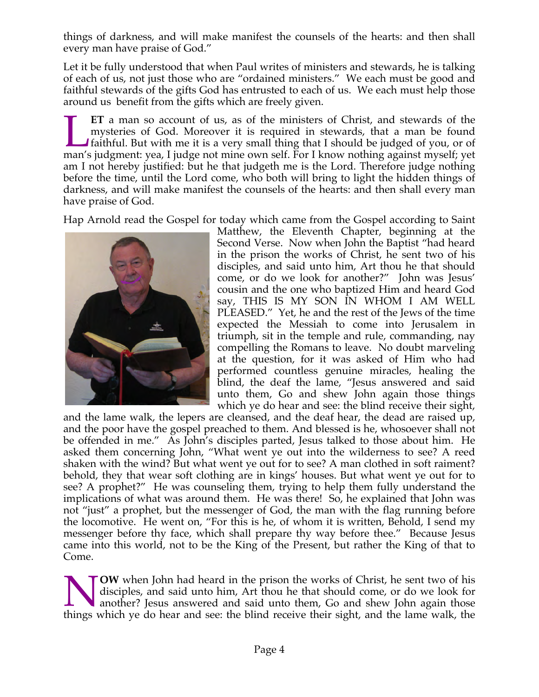things of darkness, and will make manifest the counsels of the hearts: and then shall every man have praise of God."

Let it be fully understood that when Paul writes of ministers and stewards, he is talking of each of us, not just those who are "ordained ministers." We each must be good and faithful stewards of the gifts God has entrusted to each of us. We each must help those around us benefit from the gifts which are freely given.

**ET** a man so account of us, as of the ministers of Christ, and stewards of the mysteries of God. Moreover it is required in stewards, that a man be found faithful. But with me it is a very small thing that I should be judged of you, or of **ET** a man so account of us, as of the ministers of Christ, and stewards of the mysteries of God. Moreover it is required in stewards, that a man be found faithful. But with me it is a very small thing that I should be jud am I not hereby justified: but he that judgeth me is the Lord. Therefore judge nothing before the time, until the Lord come, who both will bring to light the hidden things of darkness, and will make manifest the counsels of the hearts: and then shall every man have praise of God.

Hap Arnold read the Gospel for today which came from the Gospel according to Saint



Matthew, the Eleventh Chapter, beginning at the Second Verse. Now when John the Baptist "had heard in the prison the works of Christ, he sent two of his disciples, and said unto him, Art thou he that should come, or do we look for another?" John was Jesus' cousin and the one who baptized Him and heard God say, THIS IS MY SON IN WHOM I AM WELL PLEASED." Yet, he and the rest of the Jews of the time expected the Messiah to come into Jerusalem in triumph, sit in the temple and rule, commanding, nay compelling the Romans to leave. No doubt marveling at the question, for it was asked of Him who had performed countless genuine miracles, healing the blind, the deaf the lame, "Jesus answered and said unto them, Go and shew John again those things which ye do hear and see: the blind receive their sight,

and the lame walk, the lepers are cleansed, and the deaf hear, the dead are raised up, and the poor have the gospel preached to them. And blessed is he, whosoever shall not be offended in me." As John's disciples parted, Jesus talked to those about him. He asked them concerning John, "What went ye out into the wilderness to see? A reed shaken with the wind? But what went ye out for to see? A man clothed in soft raiment? behold, they that wear soft clothing are in kings' houses. But what went ye out for to see? A prophet?" He was counseling them, trying to help them fully understand the implications of what was around them. He was there! So, he explained that John was not "just" a prophet, but the messenger of God, the man with the flag running before the locomotive. He went on, "For this is he, of whom it is written, Behold, I send my messenger before thy face, which shall prepare thy way before thee." Because Jesus came into this world, not to be the King of the Present, but rather the King of that to Come.

**OW** when John had heard in the prison the works of Christ, he sent two of his disciples, and said unto him, Art thou he that should come, or do we look for another? Jesus answered and said unto them, Go and shew John again those **the Mathem School and Said unto him**, Art thou he that should come, or do we look for another? Jesus answered and said unto them, Go and shew John again those things which ye do hear and see: the blind receive their sight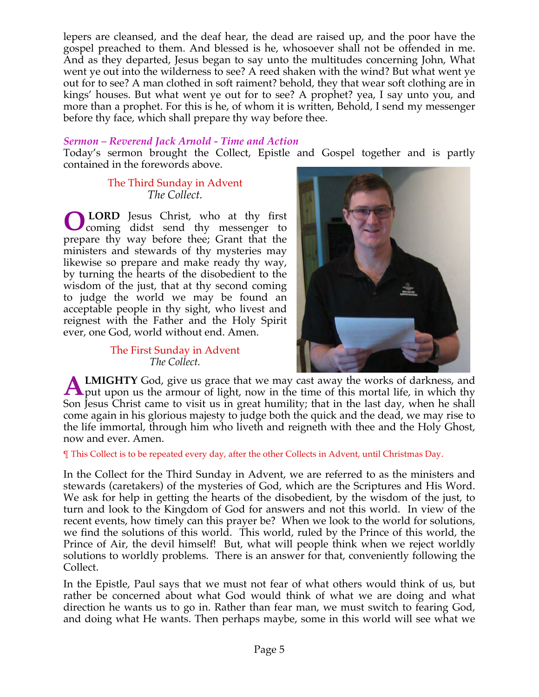lepers are cleansed, and the deaf hear, the dead are raised up, and the poor have the gospel preached to them. And blessed is he, whosoever shall not be offended in me. And as they departed, Jesus began to say unto the multitudes concerning John, What went ye out into the wilderness to see? A reed shaken with the wind? But what went ye out for to see? A man clothed in soft raiment? behold, they that wear soft clothing are in kings' houses. But what went ye out for to see? A prophet? yea, I say unto you, and more than a prophet. For this is he, of whom it is written, Behold, I send my messenger before thy face, which shall prepare thy way before thee.

## *Sermon – Reverend Jack Arnold - Time and Action*

Today's sermon brought the Collect, Epistle and Gospel together and is partly contained in the forewords above.

#### The Third Sunday in Advent *The Collect.*

 **LORD** Jesus Christ, who at thy first coming didst send thy messenger to prepare thy way before thee; Grant that the ministers and stewards of thy mysteries may likewise so prepare and make ready thy way, by turning the hearts of the disobedient to the wisdom of the just, that at thy second coming to judge the world we may be found an acceptable people in thy sight, who livest and reignest with the Father and the Holy Spirit ever, one God, world without end. Amen. **O**

> The First Sunday in Advent *The Collect.*



**LMIGHTY** God, give us grace that we may cast away the works of darkness, and **ALMIGHTY** God, give us grace that we may cast away the works of darkness, and put upon us the armour of light, now in the time of this mortal life, in which thy Son Jesus Christ came to visit us in great humility; that in the last day, when he shall come again in his glorious majesty to judge both the quick and the dead, we may rise to the life immortal, through him who liveth and reigneth with thee and the Holy Ghost, now and ever. Amen.

¶ This Collect is to be repeated every day, after the other Collects in Advent, until Christmas Day.

In the Collect for the Third Sunday in Advent, we are referred to as the ministers and stewards (caretakers) of the mysteries of God, which are the Scriptures and His Word. We ask for help in getting the hearts of the disobedient, by the wisdom of the just, to turn and look to the Kingdom of God for answers and not this world. In view of the recent events, how timely can this prayer be? When we look to the world for solutions, we find the solutions of this world. This world, ruled by the Prince of this world, the Prince of Air, the devil himself! But, what will people think when we reject worldly solutions to worldly problems. There is an answer for that, conveniently following the Collect.

In the Epistle, Paul says that we must not fear of what others would think of us, but rather be concerned about what God would think of what we are doing and what direction he wants us to go in. Rather than fear man, we must switch to fearing God, and doing what He wants. Then perhaps maybe, some in this world will see what we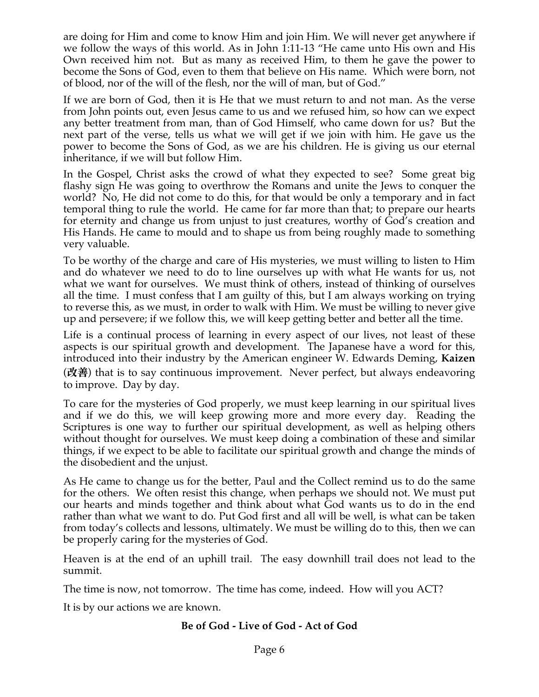are doing for Him and come to know Him and join Him. We will never get anywhere if we follow the ways of this world. As in John 1:11-13 "He came unto His own and His Own received him not. But as many as received Him, to them he gave the power to become the Sons of God, even to them that believe on His name. Which were born, not of blood, nor of the will of the flesh, nor the will of man, but of God."

If we are born of God, then it is He that we must return to and not man. As the verse from John points out, even Jesus came to us and we refused him, so how can we expect any better treatment from man, than of God Himself, who came down for us? But the next part of the verse, tells us what we will get if we join with him. He gave us the power to become the Sons of God, as we are his children. He is giving us our eternal inheritance, if we will but follow Him.

In the Gospel, Christ asks the crowd of what they expected to see? Some great big flashy sign He was going to overthrow the Romans and unite the Jews to conquer the world? No, He did not come to do this, for that would be only a temporary and in fact temporal thing to rule the world. He came for far more than that; to prepare our hearts for eternity and change us from unjust to just creatures, worthy of God's creation and His Hands. He came to mould and to shape us from being roughly made to something very valuable.

To be worthy of the charge and care of His mysteries, we must willing to listen to Him and do whatever we need to do to line ourselves up with what He wants for us, not what we want for ourselves. We must think of others, instead of thinking of ourselves all the time. I must confess that I am guilty of this, but I am always working on trying to reverse this, as we must, in order to walk with Him. We must be willing to never give up and persevere; if we follow this, we will keep getting better and better all the time.

Life is a continual process of learning in every aspect of our lives, not least of these aspects is our spiritual growth and development. The Japanese have a word for this, introduced into their industry by the American engineer W. Edwards Deming, **Kaizen** (改善) that is to say continuous improvement. Never perfect, but always endeavoring to improve. Day by day.

To care for the mysteries of God properly, we must keep learning in our spiritual lives and if we do this, we will keep growing more and more every day. Reading the Scriptures is one way to further our spiritual development, as well as helping others without thought for ourselves. We must keep doing a combination of these and similar things, if we expect to be able to facilitate our spiritual growth and change the minds of the disobedient and the unjust.

As He came to change us for the better, Paul and the Collect remind us to do the same for the others. We often resist this change, when perhaps we should not. We must put our hearts and minds together and think about what God wants us to do in the end rather than what we want to do. Put God first and all will be well, is what can be taken from today's collects and lessons, ultimately. We must be willing do to this, then we can be properly caring for the mysteries of God.

Heaven is at the end of an uphill trail. The easy downhill trail does not lead to the summit.

The time is now, not tomorrow. The time has come, indeed. How will you ACT?

It is by our actions we are known.

# **Be of God - Live of God - Act of God**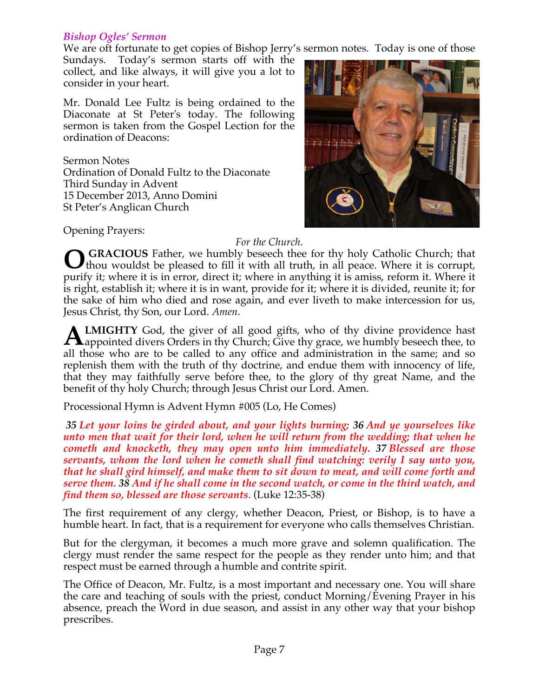## *Bishop Ogles' Sermon*

We are oft fortunate to get copies of Bishop Jerry's sermon notes. Today is one of those

Sundays. Today's sermon starts off with the collect, and like always, it will give you a lot to consider in your heart.

Mr. Donald Lee Fultz is being ordained to the Diaconate at St Peter's today. The following sermon is taken from the Gospel Lection for the ordination of Deacons:

Sermon Notes Ordination of Donald Fultz to the Diaconate Third Sunday in Advent 15 December 2013, Anno Domini St Peter's Anglican Church



Opening Prayers:

# *For the Church*.

 **GRACIOUS** Father, we humbly beseech thee for thy holy Catholic Church; that **O** GRACIOUS Father, we humbly beseech thee for thy holy Catholic Church; that thou wouldst be pleased to fill it with all truth, in all peace. Where it is corrupt, purify it; where it is in error, direct it; where in anything it is amiss, reform it. Where it is right, establish it; where it is in want, provide for it; where it is divided, reunite it; for the sake of him who died and rose again, and ever liveth to make intercession for us, Jesus Christ, thy Son, our Lord. *Amen*.

**LMIGHTY** God, the giver of all good gifts, who of thy divine providence hast **ALMIGHTY** God, the giver of all good gifts, who of thy divine providence hast appointed divers Orders in thy Church; Give thy grace, we humbly beseech thee, to all those who are to be called to any office and administration in the same; and so replenish them with the truth of thy doctrine, and endue them with innocency of life, that they may faithfully serve before thee, to the glory of thy great Name, and the benefit of thy holy Church; through Jesus Christ our Lord. Amen.

Processional Hymn is Advent Hymn #005 (Lo, He Comes)

*35 Let your loins be girded about, and your lights burning; 36 And ye yourselves like unto men that wait for their lord, when he will return from the wedding; that when he cometh and knocketh, they may open unto him immediately. 37 Blessed are those servants, whom the lord when he cometh shall find watching: verily I say unto you, that he shall gird himself, and make them to sit down to meat, and will come forth and serve them. 38 And if he shall come in the second watch, or come in the third watch, and find them so, blessed are those servants*. (Luke 12:35-38)

The first requirement of any clergy, whether Deacon, Priest, or Bishop, is to have a humble heart. In fact, that is a requirement for everyone who calls themselves Christian.

But for the clergyman, it becomes a much more grave and solemn qualification. The clergy must render the same respect for the people as they render unto him; and that respect must be earned through a humble and contrite spirit.

The Office of Deacon, Mr. Fultz, is a most important and necessary one. You will share the care and teaching of souls with the priest, conduct Morning/Evening Prayer in his absence, preach the Word in due season, and assist in any other way that your bishop prescribes.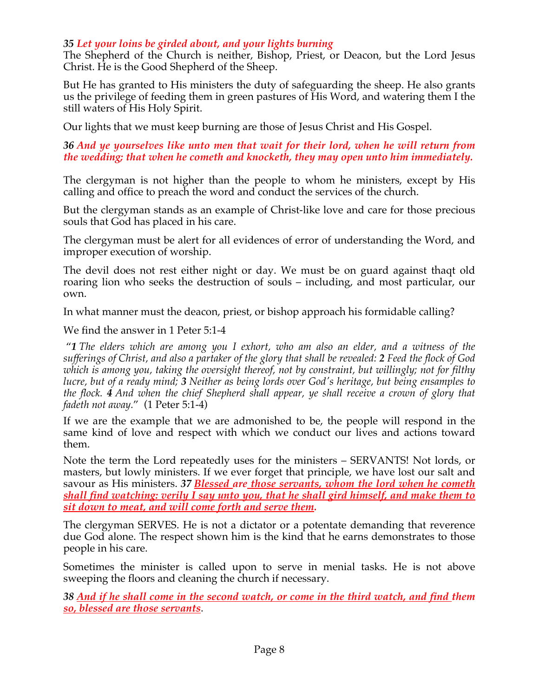## *35 Let your loins be girded about, and your lights burning*

The Shepherd of the Church is neither, Bishop, Priest, or Deacon, but the Lord Jesus Christ. He is the Good Shepherd of the Sheep.

But He has granted to His ministers the duty of safeguarding the sheep. He also grants us the privilege of feeding them in green pastures of His Word, and watering them I the still waters of His Holy Spirit.

Our lights that we must keep burning are those of Jesus Christ and His Gospel.

## *36 And ye yourselves like unto men that wait for their lord, when he will return from the wedding; that when he cometh and knocketh, they may open unto him immediately.*

The clergyman is not higher than the people to whom he ministers, except by His calling and office to preach the word and conduct the services of the church.

But the clergyman stands as an example of Christ-like love and care for those precious souls that God has placed in his care.

The clergyman must be alert for all evidences of error of understanding the Word, and improper execution of worship.

The devil does not rest either night or day. We must be on guard against thaqt old roaring lion who seeks the destruction of souls – including, and most particular, our own.

In what manner must the deacon, priest, or bishop approach his formidable calling?

We find the answer in 1 Peter 5:1-4

"*1 The elders which are among you I exhort, who am also an elder, and a witness of the sufferings of Christ, and also a partaker of the glory that shall be revealed: 2 Feed the flock of God which is among you, taking the oversight thereof, not by constraint, but willingly; not for filthy lucre, but of a ready mind; 3 Neither as being lords over God's heritage, but being ensamples to the flock. 4 And when the chief Shepherd shall appear, ye shall receive a crown of glory that fadeth not away.*" (1 Peter 5:1-4)

If we are the example that we are admonished to be, the people will respond in the same kind of love and respect with which we conduct our lives and actions toward them.

Note the term the Lord repeatedly uses for the ministers – SERVANTS! Not lords, or masters, but lowly ministers. If we ever forget that principle, we have lost our salt and savour as His ministers. *37 Blessed are those servants, whom the lord when he cometh shall find watching: verily I say unto you, that he shall gird himself, and make them to sit down to meat, and will come forth and serve them.*

The clergyman SERVES. He is not a dictator or a potentate demanding that reverence due God alone. The respect shown him is the kind that he earns demonstrates to those people in his care.

Sometimes the minister is called upon to serve in menial tasks. He is not above sweeping the floors and cleaning the church if necessary.

*38 And if he shall come in the second watch, or come in the third watch, and find them so, blessed are those servants*.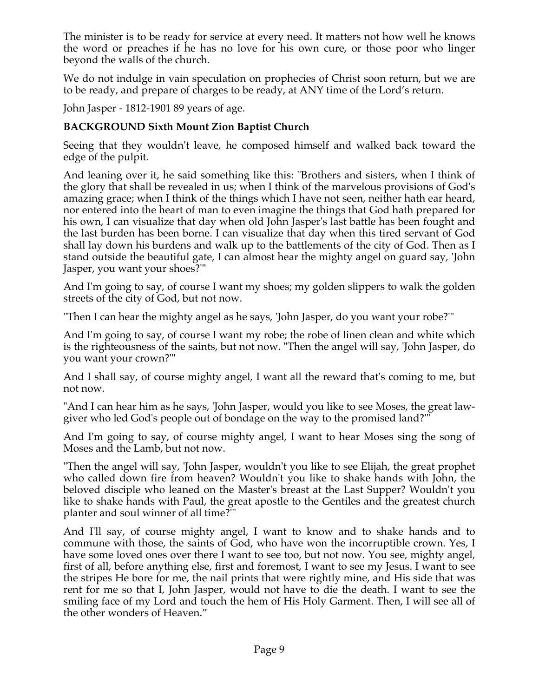The minister is to be ready for service at every need. It matters not how well he knows the word or preaches if he has no love for his own cure, or those poor who linger beyond the walls of the church.

We do not indulge in vain speculation on prophecies of Christ soon return, but we are to be ready, and prepare of charges to be ready, at ANY time of the Lord's return.

John Jasper - 1812-1901 89 years of age.

# **BACKGROUND Sixth Mount Zion Baptist Church**

Seeing that they wouldn't leave, he composed himself and walked back toward the edge of the pulpit.

And leaning over it, he said something like this: "Brothers and sisters, when I think of the glory that shall be revealed in us; when I think of the marvelous provisions of God's amazing grace; when I think of the things which I have not seen, neither hath ear heard, nor entered into the heart of man to even imagine the things that God hath prepared for his own, I can visualize that day when old John Jasper's last battle has been fought and the last burden has been borne. I can visualize that day when this tired servant of God shall lay down his burdens and walk up to the battlements of the city of God. Then as I stand outside the beautiful gate, I can almost hear the mighty angel on guard say, 'John Jasper, you want your shoes?'"

And I'm going to say, of course I want my shoes; my golden slippers to walk the golden streets of the city of God, but not now.

"Then I can hear the mighty angel as he says, 'John Jasper, do you want your robe?'"

And I'm going to say, of course I want my robe; the robe of linen clean and white which is the righteousness of the saints, but not now. "Then the angel will say, 'John Jasper, do you want your crown?'"

And I shall say, of course mighty angel, I want all the reward that's coming to me, but not now.

"And I can hear him as he says, 'John Jasper, would you like to see Moses, the great lawgiver who led God's people out of bondage on the way to the promised land?'"

And I'm going to say, of course mighty angel, I want to hear Moses sing the song of Moses and the Lamb, but not now.

"Then the angel will say, 'John Jasper, wouldn't you like to see Elijah, the great prophet who called down fire from heaven? Wouldn't you like to shake hands with John, the beloved disciple who leaned on the Master's breast at the Last Supper? Wouldn't you like to shake hands with Paul, the great apostle to the Gentiles and the greatest church planter and soul winner of all time?'"

And I'll say, of course mighty angel, I want to know and to shake hands and to commune with those, the saints of God, who have won the incorruptible crown. Yes, I have some loved ones over there I want to see too, but not now. You see, mighty angel, first of all, before anything else, first and foremost, I want to see my Jesus. I want to see the stripes He bore for me, the nail prints that were rightly mine, and His side that was rent for me so that I, John Jasper, would not have to die the death. I want to see the smiling face of my Lord and touch the hem of His Holy Garment. Then, I will see all of the other wonders of Heaven."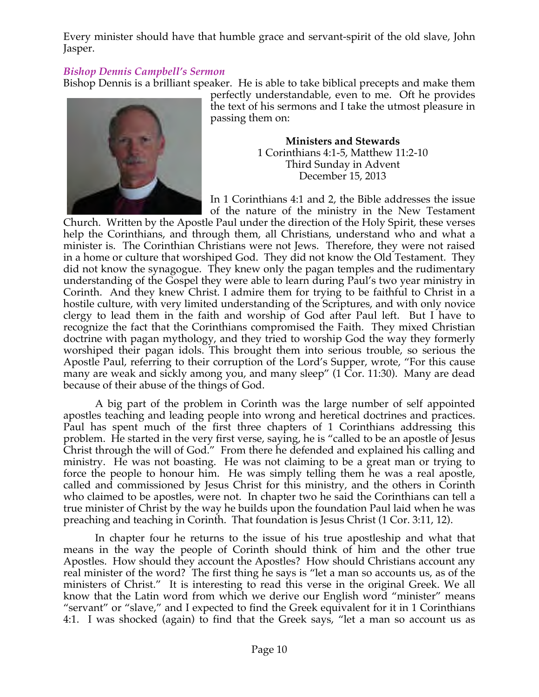Every minister should have that humble grace and servant-spirit of the old slave, John Jasper.

# *Bishop Dennis Campbell's Sermon*

Bishop Dennis is a brilliant speaker. He is able to take biblical precepts and make them



perfectly understandable, even to me. Oft he provides the text of his sermons and I take the utmost pleasure in passing them on:

> **Ministers and Stewards** 1 Corinthians 4:1-5, Matthew 11:2-10 Third Sunday in Advent December 15, 2013

In 1 Corinthians 4:1 and 2, the Bible addresses the issue of the nature of the ministry in the New Testament

Church. Written by the Apostle Paul under the direction of the Holy Spirit, these verses help the Corinthians, and through them, all Christians, understand who and what a minister is. The Corinthian Christians were not Jews. Therefore, they were not raised in a home or culture that worshiped God. They did not know the Old Testament. They did not know the synagogue. They knew only the pagan temples and the rudimentary understanding of the Gospel they were able to learn during Paul's two year ministry in Corinth. And they knew Christ. I admire them for trying to be faithful to Christ in a hostile culture, with very limited understanding of the Scriptures, and with only novice clergy to lead them in the faith and worship of God after Paul left. But I have to recognize the fact that the Corinthians compromised the Faith. They mixed Christian doctrine with pagan mythology, and they tried to worship God the way they formerly worshiped their pagan idols. This brought them into serious trouble, so serious the Apostle Paul, referring to their corruption of the Lord's Supper, wrote, "For this cause many are weak and sickly among you, and many sleep" (1 Cor. 11:30). Many are dead because of their abuse of the things of God.

 A big part of the problem in Corinth was the large number of self appointed apostles teaching and leading people into wrong and heretical doctrines and practices. Paul has spent much of the first three chapters of 1 Corinthians addressing this problem. He started in the very first verse, saying, he is "called to be an apostle of Jesus Christ through the will of God." From there he defended and explained his calling and ministry. He was not boasting. He was not claiming to be a great man or trying to force the people to honour him. He was simply telling them he was a real apostle, called and commissioned by Jesus Christ for this ministry, and the others in Corinth who claimed to be apostles, were not. In chapter two he said the Corinthians can tell a true minister of Christ by the way he builds upon the foundation Paul laid when he was preaching and teaching in Corinth. That foundation is Jesus Christ (1 Cor. 3:11, 12).

In chapter four he returns to the issue of his true apostleship and what that means in the way the people of Corinth should think of him and the other true Apostles. How should they account the Apostles? How should Christians account any real minister of the word? The first thing he says is "let a man so accounts us, as of the ministers of Christ." It is interesting to read this verse in the original Greek. We all know that the Latin word from which we derive our English word "minister" means "servant" or "slave," and I expected to find the Greek equivalent for it in 1 Corinthians 4:1. I was shocked (again) to find that the Greek says, "let a man so account us as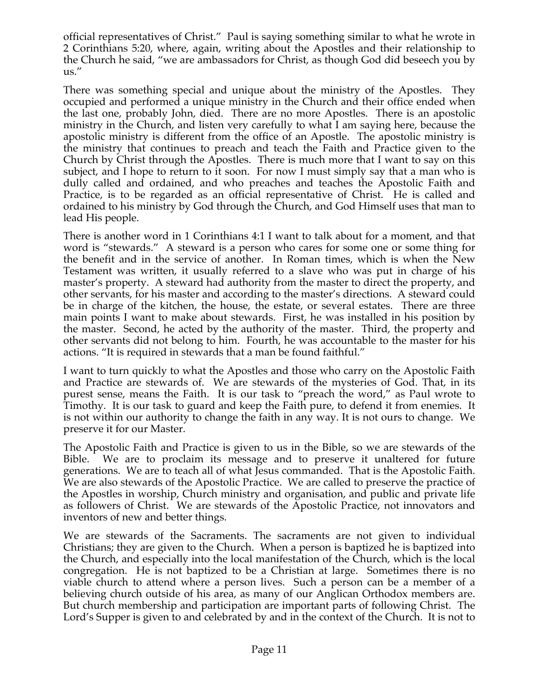official representatives of Christ." Paul is saying something similar to what he wrote in 2 Corinthians 5:20, where, again, writing about the Apostles and their relationship to the Church he said, "we are ambassadors for Christ, as though God did beseech you by us."

There was something special and unique about the ministry of the Apostles. They occupied and performed a unique ministry in the Church and their office ended when the last one, probably John, died. There are no more Apostles. There is an apostolic ministry in the Church, and listen very carefully to what I am saying here, because the apostolic ministry is different from the office of an Apostle. The apostolic ministry is the ministry that continues to preach and teach the Faith and Practice given to the Church by Christ through the Apostles. There is much more that I want to say on this subject, and I hope to return to it soon. For now I must simply say that a man who is dully called and ordained, and who preaches and teaches the Apostolic Faith and Practice, is to be regarded as an official representative of Christ. He is called and ordained to his ministry by God through the Church, and God Himself uses that man to lead His people.

There is another word in 1 Corinthians 4:1 I want to talk about for a moment, and that word is "stewards." A steward is a person who cares for some one or some thing for the benefit and in the service of another. In Roman times, which is when the New Testament was written, it usually referred to a slave who was put in charge of his master's property. A steward had authority from the master to direct the property, and other servants, for his master and according to the master's directions. A steward could be in charge of the kitchen, the house, the estate, or several estates. There are three main points I want to make about stewards. First, he was installed in his position by the master. Second, he acted by the authority of the master. Third, the property and other servants did not belong to him. Fourth, he was accountable to the master for his actions. "It is required in stewards that a man be found faithful."

I want to turn quickly to what the Apostles and those who carry on the Apostolic Faith and Practice are stewards of. We are stewards of the mysteries of God. That, in its purest sense, means the Faith. It is our task to "preach the word," as Paul wrote to Timothy. It is our task to guard and keep the Faith pure, to defend it from enemies. It is not within our authority to change the faith in any way. It is not ours to change. We preserve it for our Master.

The Apostolic Faith and Practice is given to us in the Bible, so we are stewards of the Bible. We are to proclaim its message and to preserve it unaltered for future generations. We are to teach all of what Jesus commanded. That is the Apostolic Faith. We are also stewards of the Apostolic Practice. We are called to preserve the practice of the Apostles in worship, Church ministry and organisation, and public and private life as followers of Christ. We are stewards of the Apostolic Practice, not innovators and inventors of new and better things.

We are stewards of the Sacraments. The sacraments are not given to individual Christians; they are given to the Church. When a person is baptized he is baptized into the Church, and especially into the local manifestation of the Church, which is the local congregation. He is not baptized to be a Christian at large. Sometimes there is no viable church to attend where a person lives. Such a person can be a member of a believing church outside of his area, as many of our Anglican Orthodox members are. But church membership and participation are important parts of following Christ. The Lord's Supper is given to and celebrated by and in the context of the Church. It is not to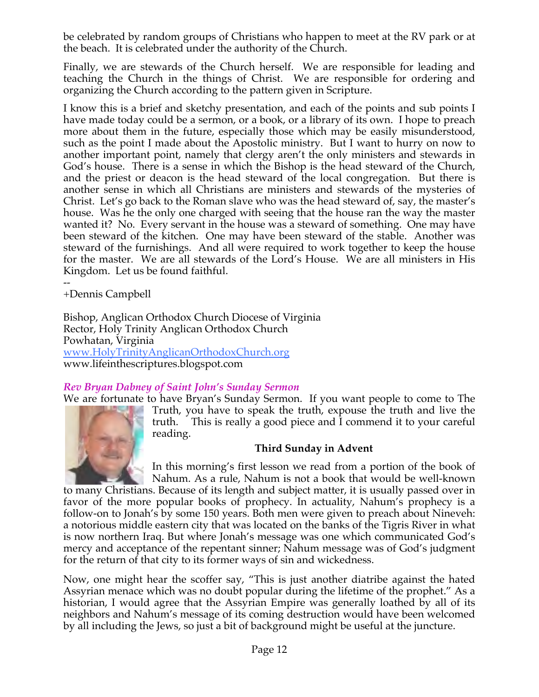be celebrated by random groups of Christians who happen to meet at the RV park or at the beach. It is celebrated under the authority of the Church.

Finally, we are stewards of the Church herself. We are responsible for leading and teaching the Church in the things of Christ. We are responsible for ordering and organizing the Church according to the pattern given in Scripture.

I know this is a brief and sketchy presentation, and each of the points and sub points I have made today could be a sermon, or a book, or a library of its own. I hope to preach more about them in the future, especially those which may be easily misunderstood, such as the point I made about the Apostolic ministry. But I want to hurry on now to another important point, namely that clergy aren't the only ministers and stewards in God's house. There is a sense in which the Bishop is the head steward of the Church, and the priest or deacon is the head steward of the local congregation. But there is another sense in which all Christians are ministers and stewards of the mysteries of Christ. Let's go back to the Roman slave who was the head steward of, say, the master's house. Was he the only one charged with seeing that the house ran the way the master wanted it? No. Every servant in the house was a steward of something. One may have been steward of the kitchen. One may have been steward of the stable. Another was steward of the furnishings. And all were required to work together to keep the house for the master. We are all stewards of the Lord's House. We are all ministers in His Kingdom. Let us be found faithful.

-- +Dennis Campbell

Bishop, Anglican Orthodox Church Diocese of Virginia Rector, Holy Trinity Anglican Orthodox Church Powhatan, Virginia www.HolyTrinityAnglicanOrthodoxChurch.org www.lifeinthescriptures.blogspot.com

# *Rev Bryan Dabney of Saint John's Sunday Sermon*

We are fortunate to have Bryan's Sunday Sermon. If you want people to come to The



Truth, you have to speak the truth, expouse the truth and live the truth. This is really a good piece and I commend it to your careful reading.

## **Third Sunday in Advent**

In this morning's first lesson we read from a portion of the book of Nahum. As a rule, Nahum is not a book that would be well-known

to many Christians. Because of its length and subject matter, it is usually passed over in favor of the more popular books of prophecy. In actuality, Nahum's prophecy is a follow-on to Jonah's by some 150 years. Both men were given to preach about Nineveh: a notorious middle eastern city that was located on the banks of the Tigris River in what is now northern Iraq. But where Jonah's message was one which communicated God's mercy and acceptance of the repentant sinner; Nahum message was of God's judgment for the return of that city to its former ways of sin and wickedness.

Now, one might hear the scoffer say, "This is just another diatribe against the hated Assyrian menace which was no doubt popular during the lifetime of the prophet." As a historian, I would agree that the Assyrian Empire was generally loathed by all of its neighbors and Nahum's message of its coming destruction would have been welcomed by all including the Jews, so just a bit of background might be useful at the juncture.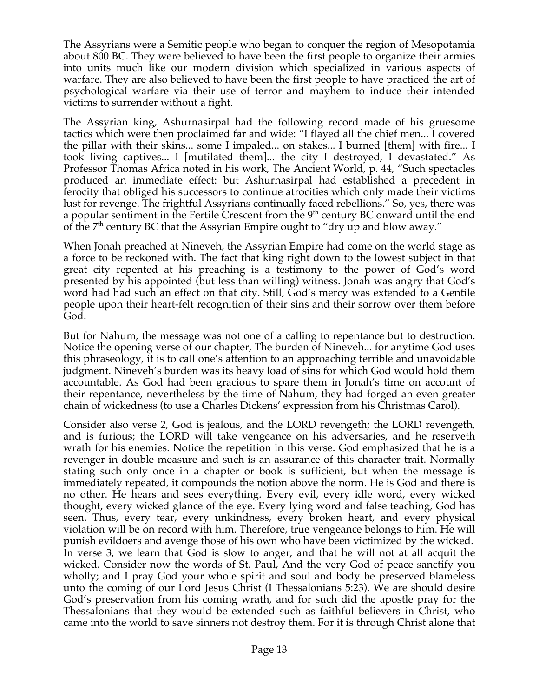The Assyrians were a Semitic people who began to conquer the region of Mesopotamia about 800 BC. They were believed to have been the first people to organize their armies into units much like our modern division which specialized in various aspects of warfare. They are also believed to have been the first people to have practiced the art of psychological warfare via their use of terror and mayhem to induce their intended victims to surrender without a fight.

The Assyrian king, Ashurnasirpal had the following record made of his gruesome tactics which were then proclaimed far and wide: "I flayed all the chief men... I covered the pillar with their skins... some I impaled... on stakes... I burned [them] with fire... I took living captives... I [mutilated them]... the city I destroyed, I devastated." As Professor Thomas Africa noted in his work, The Ancient World, p. 44, "Such spectacles produced an immediate effect: but Ashurnasirpal had established a precedent in ferocity that obliged his successors to continue atrocities which only made their victims lust for revenge. The frightful Assyrians continually faced rebellions." So, yes, there was a popular sentiment in the Fertile Crescent from the  $9<sup>th</sup>$  century BC onward until the end of the  $7<sup>th</sup>$  century BC that the Assyrian Empire ought to "dry up and blow away."

When Jonah preached at Nineveh, the Assyrian Empire had come on the world stage as a force to be reckoned with. The fact that king right down to the lowest subject in that great city repented at his preaching is a testimony to the power of God's word presented by his appointed (but less than willing) witness. Jonah was angry that God's word had had such an effect on that city. Still, God's mercy was extended to a Gentile people upon their heart-felt recognition of their sins and their sorrow over them before God.

But for Nahum, the message was not one of a calling to repentance but to destruction. Notice the opening verse of our chapter, The burden of Nineveh... for anytime God uses this phraseology, it is to call one's attention to an approaching terrible and unavoidable judgment. Nineveh's burden was its heavy load of sins for which God would hold them accountable. As God had been gracious to spare them in Jonah's time on account of their repentance, nevertheless by the time of Nahum, they had forged an even greater chain of wickedness (to use a Charles Dickens' expression from his Christmas Carol).

Consider also verse 2, God is jealous, and the LORD revengeth; the LORD revengeth, and is furious; the LORD will take vengeance on his adversaries, and he reserveth wrath for his enemies. Notice the repetition in this verse. God emphasized that he is a revenger in double measure and such is an assurance of this character trait. Normally stating such only once in a chapter or book is sufficient, but when the message is immediately repeated, it compounds the notion above the norm. He is God and there is no other. He hears and sees everything. Every evil, every idle word, every wicked thought, every wicked glance of the eye. Every lying word and false teaching, God has seen. Thus, every tear, every unkindness, every broken heart, and every physical violation will be on record with him. Therefore, true vengeance belongs to him. He will punish evildoers and avenge those of his own who have been victimized by the wicked. In verse 3, we learn that God is slow to anger, and that he will not at all acquit the wicked. Consider now the words of St. Paul, And the very God of peace sanctify you wholly; and I pray God your whole spirit and soul and body be preserved blameless unto the coming of our Lord Jesus Christ (I Thessalonians 5:23). We are should desire God's preservation from his coming wrath, and for such did the apostle pray for the Thessalonians that they would be extended such as faithful believers in Christ, who came into the world to save sinners not destroy them. For it is through Christ alone that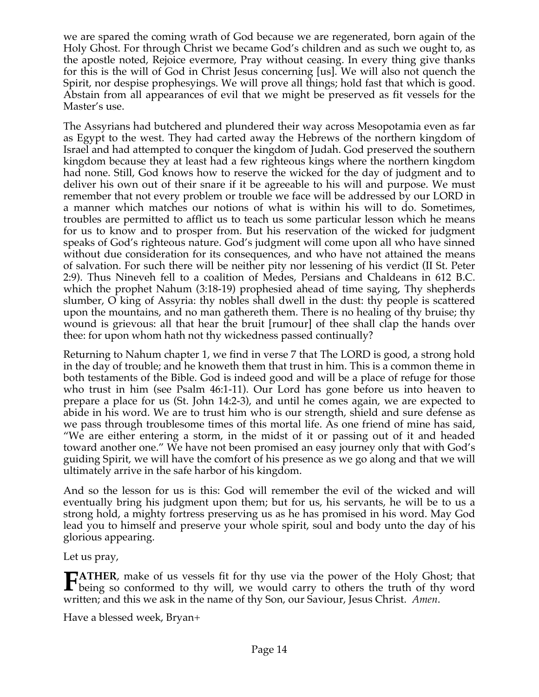we are spared the coming wrath of God because we are regenerated, born again of the Holy Ghost. For through Christ we became God's children and as such we ought to, as the apostle noted, Rejoice evermore, Pray without ceasing. In every thing give thanks for this is the will of God in Christ Jesus concerning [us]. We will also not quench the Spirit, nor despise prophesyings. We will prove all things; hold fast that which is good. Abstain from all appearances of evil that we might be preserved as fit vessels for the Master's use.

The Assyrians had butchered and plundered their way across Mesopotamia even as far as Egypt to the west. They had carted away the Hebrews of the northern kingdom of Israel and had attempted to conquer the kingdom of Judah. God preserved the southern kingdom because they at least had a few righteous kings where the northern kingdom had none. Still, God knows how to reserve the wicked for the day of judgment and to deliver his own out of their snare if it be agreeable to his will and purpose. We must remember that not every problem or trouble we face will be addressed by our LORD in a manner which matches our notions of what is within his will to do. Sometimes, troubles are permitted to afflict us to teach us some particular lesson which he means for us to know and to prosper from. But his reservation of the wicked for judgment speaks of God's righteous nature. God's judgment will come upon all who have sinned without due consideration for its consequences, and who have not attained the means of salvation. For such there will be neither pity nor lessening of his verdict (II St. Peter 2:9). Thus Nineveh fell to a coalition of Medes, Persians and Chaldeans in 612 B.C. which the prophet Nahum (3:18-19) prophesied ahead of time saying, Thy shepherds slumber, O king of Assyria: thy nobles shall dwell in the dust: thy people is scattered upon the mountains, and no man gathereth them. There is no healing of thy bruise; thy wound is grievous: all that hear the bruit [rumour] of thee shall clap the hands over thee: for upon whom hath not thy wickedness passed continually?

Returning to Nahum chapter 1, we find in verse 7 that The LORD is good, a strong hold in the day of trouble; and he knoweth them that trust in him. This is a common theme in both testaments of the Bible. God is indeed good and will be a place of refuge for those who trust in him (see Psalm 46:1-11). Our Lord has gone before us into heaven to prepare a place for us (St. John 14:2-3), and until he comes again, we are expected to abide in his word. We are to trust him who is our strength, shield and sure defense as we pass through troublesome times of this mortal life. As one friend of mine has said, "We are either entering a storm, in the midst of it or passing out of it and headed toward another one." We have not been promised an easy journey only that with God's guiding Spirit, we will have the comfort of his presence as we go along and that we will ultimately arrive in the safe harbor of his kingdom.

And so the lesson for us is this: God will remember the evil of the wicked and will eventually bring his judgment upon them; but for us, his servants, he will be to us a strong hold, a mighty fortress preserving us as he has promised in his word. May God lead you to himself and preserve your whole spirit, soul and body unto the day of his glorious appearing.

Let us pray,

**ATHER**, make of us vessels fit for thy use via the power of the Holy Ghost; that **FATHER**, make of us vessels fit for thy use via the power of the Holy Ghost; that being so conformed to thy will, we would carry to others the truth of thy word written; and this we ask in the name of thy Son, our Saviour, Jesus Christ. *Amen*.

Have a blessed week, Bryan+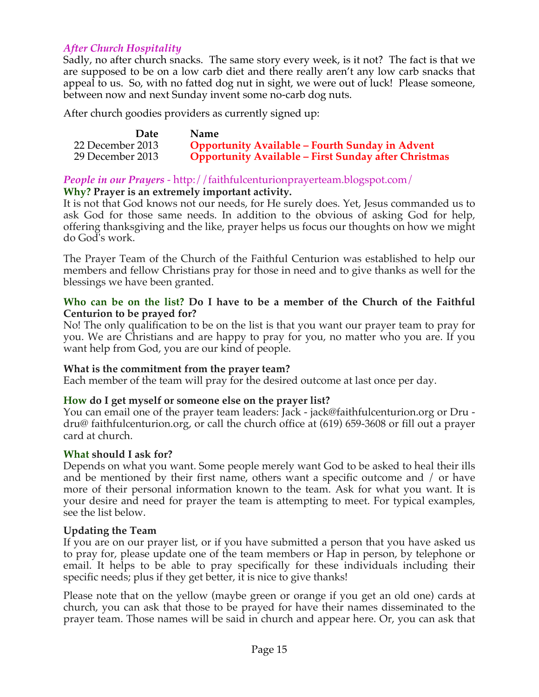# *After Church Hospitality*

Sadly, no after church snacks. The same story every week, is it not? The fact is that we are supposed to be on a low carb diet and there really aren't any low carb snacks that appeal to us. So, with no fatted dog nut in sight, we were out of luck! Please someone, between now and next Sunday invent some no-carb dog nuts.

After church goodies providers as currently signed up:

| Date             | <b>Name</b>                                                 |
|------------------|-------------------------------------------------------------|
| 22 December 2013 | <b>Opportunity Available - Fourth Sunday in Advent</b>      |
| 29 December 2013 | <b>Opportunity Available - First Sunday after Christmas</b> |

# *People in our Prayers* - http://faithfulcenturionprayerteam.blogspot.com/

## **Why? Prayer is an extremely important activity.**

It is not that God knows not our needs, for He surely does. Yet, Jesus commanded us to ask God for those same needs. In addition to the obvious of asking God for help, offering thanksgiving and the like, prayer helps us focus our thoughts on how we might do God's work.

The Prayer Team of the Church of the Faithful Centurion was established to help our members and fellow Christians pray for those in need and to give thanks as well for the blessings we have been granted.

#### **Who can be on the list? Do I have to be a member of the Church of the Faithful Centurion to be prayed for?**

No! The only qualification to be on the list is that you want our prayer team to pray for you. We are Christians and are happy to pray for you, no matter who you are. If you want help from God, you are our kind of people.

## **What is the commitment from the prayer team?**

Each member of the team will pray for the desired outcome at last once per day.

## **How do I get myself or someone else on the prayer list?**

You can email one of the prayer team leaders: Jack - jack@faithfulcenturion.org or Dru dru@ faithfulcenturion.org, or call the church office at (619) 659-3608 or fill out a prayer card at church.

## **What should I ask for?**

Depends on what you want. Some people merely want God to be asked to heal their ills and be mentioned by their first name, others want a specific outcome and / or have more of their personal information known to the team. Ask for what you want. It is your desire and need for prayer the team is attempting to meet. For typical examples, see the list below.

## **Updating the Team**

If you are on our prayer list, or if you have submitted a person that you have asked us to pray for, please update one of the team members or Hap in person, by telephone or email. It helps to be able to pray specifically for these individuals including their specific needs; plus if they get better, it is nice to give thanks!

Please note that on the yellow (maybe green or orange if you get an old one) cards at church, you can ask that those to be prayed for have their names disseminated to the prayer team. Those names will be said in church and appear here. Or, you can ask that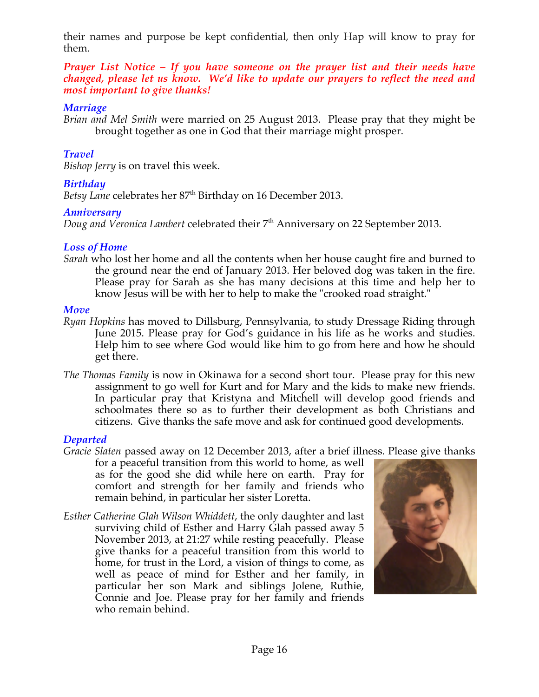their names and purpose be kept confidential, then only Hap will know to pray for them.

*Prayer List Notice – If you have someone on the prayer list and their needs have changed, please let us know. We'd like to update our prayers to reflect the need and most important to give thanks!*

## *Marriage*

*Brian and Mel Smith* were married on 25 August 2013. Please pray that they might be brought together as one in God that their marriage might prosper.

## *Travel*

*Bishop Jerry* is on travel this week.

# *Birthday*

Betsy Lane celebrates her 87<sup>th</sup> Birthday on 16 December 2013.

# *Anniversary*

*Doug and Veronica Lambert celebrated their* 7<sup>th</sup> Anniversary on 22 September 2013.

## *Loss of Home*

*Sarah* who lost her home and all the contents when her house caught fire and burned to the ground near the end of January 2013. Her beloved dog was taken in the fire. Please pray for Sarah as she has many decisions at this time and help her to know Jesus will be with her to help to make the "crooked road straight."

## *Move*

- *Ryan Hopkins* has moved to Dillsburg, Pennsylvania, to study Dressage Riding through June 2015. Please pray for God's guidance in his life as he works and studies. Help him to see where God would like him to go from here and how he should get there.
- *The Thomas Family* is now in Okinawa for a second short tour. Please pray for this new assignment to go well for Kurt and for Mary and the kids to make new friends. In particular pray that Kristyna and Mitchell will develop good friends and schoolmates there so as to further their development as both Christians and citizens. Give thanks the safe move and ask for continued good developments.

# *Departed*

*Gracie Slaten* passed away on 12 December 2013, after a brief illness. Please give thanks

for a peaceful transition from this world to home, as well as for the good she did while here on earth. Pray for comfort and strength for her family and friends who remain behind, in particular her sister Loretta.

*Esther Catherine Glah Wilson Whiddett*, the only daughter and last surviving child of Esther and Harry Glah passed away 5 November 2013, at 21:27 while resting peacefully. Please give thanks for a peaceful transition from this world to home, for trust in the Lord, a vision of things to come, as well as peace of mind for Esther and her family, in particular her son Mark and siblings Jolene, Ruthie, Connie and Joe. Please pray for her family and friends who remain behind.

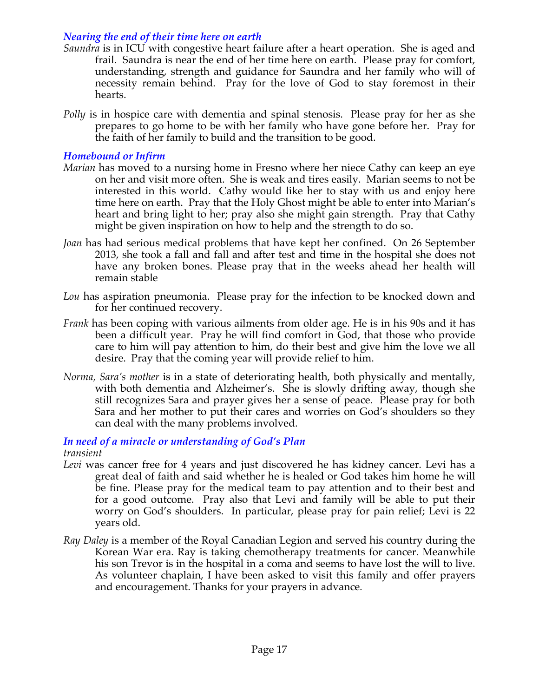## *Nearing the end of their time here on earth*

- *Saundra* is in ICU with congestive heart failure after a heart operation. She is aged and frail. Saundra is near the end of her time here on earth. Please pray for comfort, understanding, strength and guidance for Saundra and her family who will of necessity remain behind. Pray for the love of God to stay foremost in their hearts.
- *Polly* is in hospice care with dementia and spinal stenosis. Please pray for her as she prepares to go home to be with her family who have gone before her. Pray for the faith of her family to build and the transition to be good.

## *Homebound or Infirm*

- *Marian* has moved to a nursing home in Fresno where her niece Cathy can keep an eye on her and visit more often. She is weak and tires easily. Marian seems to not be interested in this world. Cathy would like her to stay with us and enjoy here time here on earth. Pray that the Holy Ghost might be able to enter into Marian's heart and bring light to her; pray also she might gain strength. Pray that Cathy might be given inspiration on how to help and the strength to do so.
- *Joan* has had serious medical problems that have kept her confined. On 26 September 2013, she took a fall and fall and after test and time in the hospital she does not have any broken bones. Please pray that in the weeks ahead her health will remain stable
- *Lou* has aspiration pneumonia. Please pray for the infection to be knocked down and for her continued recovery.
- *Frank* has been coping with various ailments from older age. He is in his 90s and it has been a difficult year. Pray he will find comfort in God, that those who provide care to him will pay attention to him, do their best and give him the love we all desire. Pray that the coming year will provide relief to him.
- *Norma, Sara's mother* is in a state of deteriorating health, both physically and mentally, with both dementia and Alzheimer's. She is slowly drifting away, though she still recognizes Sara and prayer gives her a sense of peace. Please pray for both Sara and her mother to put their cares and worries on God's shoulders so they can deal with the many problems involved.

# *In need of a miracle or understanding of God's Plan*

- *transient*
- Levi was cancer free for 4 years and just discovered he has kidney cancer. Levi has a great deal of faith and said whether he is healed or God takes him home he will be fine. Please pray for the medical team to pay attention and to their best and for a good outcome. Pray also that Levi and family will be able to put their worry on God's shoulders. In particular, please pray for pain relief; Levi is 22 years old.
- *Ray Daley* is a member of the Royal Canadian Legion and served his country during the Korean War era. Ray is taking chemotherapy treatments for cancer. Meanwhile his son Trevor is in the hospital in a coma and seems to have lost the will to live. As volunteer chaplain, I have been asked to visit this family and offer prayers and encouragement. Thanks for your prayers in advance*.*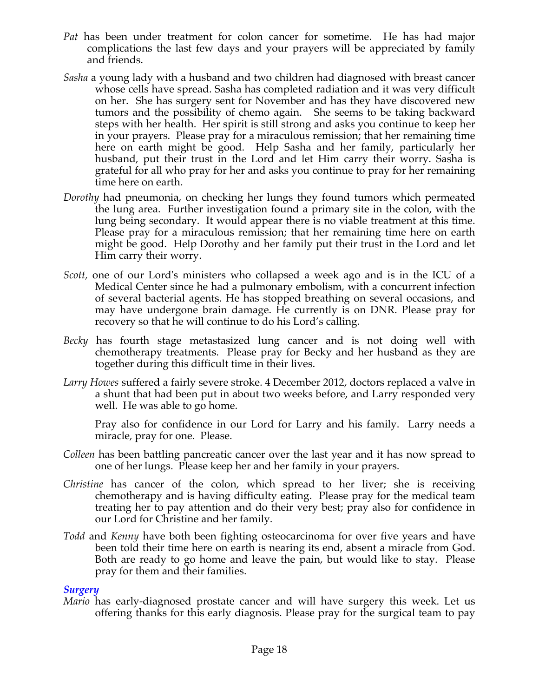- *Pat* has been under treatment for colon cancer for sometime. He has had major complications the last few days and your prayers will be appreciated by family and friends.
- *Sasha* a young lady with a husband and two children had diagnosed with breast cancer whose cells have spread. Sasha has completed radiation and it was very difficult on her. She has surgery sent for November and has they have discovered new tumors and the possibility of chemo again. She seems to be taking backward steps with her health. Her spirit is still strong and asks you continue to keep her in your prayers. Please pray for a miraculous remission; that her remaining time here on earth might be good. Help Sasha and her family, particularly her husband, put their trust in the Lord and let Him carry their worry. Sasha is grateful for all who pray for her and asks you continue to pray for her remaining time here on earth.
- *Dorothy* had pneumonia, on checking her lungs they found tumors which permeated the lung area. Further investigation found a primary site in the colon, with the lung being secondary. It would appear there is no viable treatment at this time. Please pray for a miraculous remission; that her remaining time here on earth might be good. Help Dorothy and her family put their trust in the Lord and let Him carry their worry.
- *Scott,* one of our Lord's ministers who collapsed a week ago and is in the ICU of a Medical Center since he had a pulmonary embolism, with a concurrent infection of several bacterial agents. He has stopped breathing on several occasions, and may have undergone brain damage. He currently is on DNR. Please pray for recovery so that he will continue to do his Lord's calling*.*
- *Becky* has fourth stage metastasized lung cancer and is not doing well with chemotherapy treatments. Please pray for Becky and her husband as they are together during this difficult time in their lives.
- *Larry Howes* suffered a fairly severe stroke. 4 December 2012, doctors replaced a valve in a shunt that had been put in about two weeks before, and Larry responded very well. He was able to go home.

Pray also for confidence in our Lord for Larry and his family. Larry needs a miracle, pray for one. Please.

- *Colleen* has been battling pancreatic cancer over the last year and it has now spread to one of her lungs. Please keep her and her family in your prayers.
- *Christine* has cancer of the colon, which spread to her liver; she is receiving chemotherapy and is having difficulty eating. Please pray for the medical team treating her to pay attention and do their very best; pray also for confidence in our Lord for Christine and her family.
- *Todd* and *Kenny* have both been fighting osteocarcinoma for over five years and have been told their time here on earth is nearing its end, absent a miracle from God. Both are ready to go home and leave the pain, but would like to stay. Please pray for them and their families.

*Surgery*

*Mario* has early-diagnosed prostate cancer and will have surgery this week. Let us offering thanks for this early diagnosis. Please pray for the surgical team to pay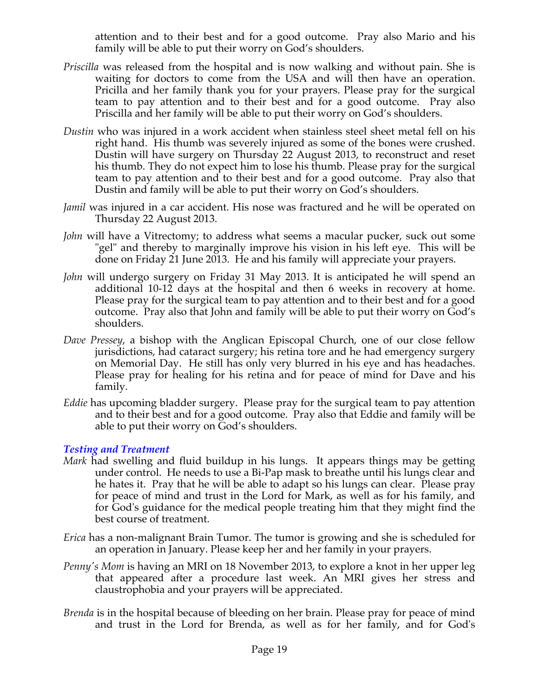attention and to their best and for a good outcome. Pray also Mario and his family will be able to put their worry on God's shoulders.

- *Priscilla* was released from the hospital and is now walking and without pain. She is waiting for doctors to come from the USA and will then have an operation. Pricilla and her family thank you for your prayers. Please pray for the surgical team to pay attention and to their best and for a good outcome. Pray also Priscilla and her family will be able to put their worry on God's shoulders.
- *Dustin* who was injured in a work accident when stainless steel sheet metal fell on his right hand. His thumb was severely injured as some of the bones were crushed. Dustin will have surgery on Thursday 22 August 2013, to reconstruct and reset his thumb. They do not expect him to lose his thumb. Please pray for the surgical team to pay attention and to their best and for a good outcome. Pray also that Dustin and family will be able to put their worry on God's shoulders.
- *Jamil* was injured in a car accident. His nose was fractured and he will be operated on Thursday 22 August 2013.
- *John will have a Vitrectomy; to address what seems a macular pucker, suck out some* "gel" and thereby to marginally improve his vision in his left eye. This will be done on Friday 21 June 2013. He and his family will appreciate your prayers.
- *John* will undergo surgery on Friday 31 May 2013. It is anticipated he will spend an additional 10-12 days at the hospital and then 6 weeks in recovery at home. Please pray for the surgical team to pay attention and to their best and for a good outcome. Pray also that John and family will be able to put their worry on God's shoulders.
- *Dave Pressey*, a bishop with the Anglican Episcopal Church, one of our close fellow jurisdictions, had cataract surgery; his retina tore and he had emergency surgery on Memorial Day. He still has only very blurred in his eye and has headaches. Please pray for healing for his retina and for peace of mind for Dave and his family.
- *Eddie* has upcoming bladder surgery. Please pray for the surgical team to pay attention and to their best and for a good outcome. Pray also that Eddie and family will be able to put their worry on God's shoulders.

## *Testing and Treatment*

- *Mark* had swelling and fluid buildup in his lungs. It appears things may be getting under control. He needs to use a Bi-Pap mask to breathe until his lungs clear and he hates it. Pray that he will be able to adapt so his lungs can clear. Please pray for peace of mind and trust in the Lord for Mark, as well as for his family, and for God's guidance for the medical people treating him that they might find the best course of treatment.
- *Erica* has a non-malignant Brain Tumor. The tumor is growing and she is scheduled for an operation in January. Please keep her and her family in your prayers.
- *Penny's Mom* is having an MRI on 18 November 2013, to explore a knot in her upper leg that appeared after a procedure last week. An MRI gives her stress and claustrophobia and your prayers will be appreciated.
- *Brenda* is in the hospital because of bleeding on her brain. Please pray for peace of mind and trust in the Lord for Brenda, as well as for her family, and for God's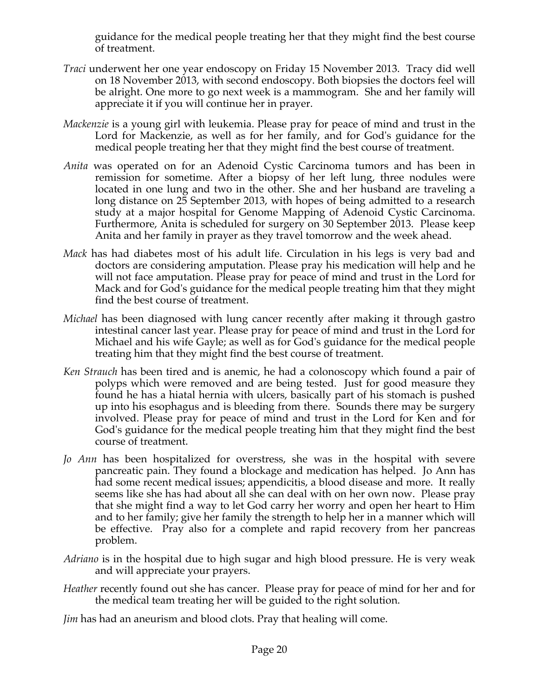guidance for the medical people treating her that they might find the best course of treatment.

- *Traci* underwent her one year endoscopy on Friday 15 November 2013. Tracy did well on 18 November 2013, with second endoscopy. Both biopsies the doctors feel will be alright. One more to go next week is a mammogram. She and her family will appreciate it if you will continue her in prayer.
- *Mackenzie* is a young girl with leukemia. Please pray for peace of mind and trust in the Lord for Mackenzie, as well as for her family, and for God's guidance for the medical people treating her that they might find the best course of treatment.
- *Anita* was operated on for an Adenoid Cystic Carcinoma tumors and has been in remission for sometime. After a biopsy of her left lung, three nodules were located in one lung and two in the other. She and her husband are traveling a long distance on 25 September 2013, with hopes of being admitted to a research study at a major hospital for Genome Mapping of Adenoid Cystic Carcinoma. Furthermore, Anita is scheduled for surgery on 30 September 2013. Please keep Anita and her family in prayer as they travel tomorrow and the week ahead.
- *Mack* has had diabetes most of his adult life. Circulation in his legs is very bad and doctors are considering amputation. Please pray his medication will help and he will not face amputation. Please pray for peace of mind and trust in the Lord for Mack and for God's guidance for the medical people treating him that they might find the best course of treatment.
- *Michael* has been diagnosed with lung cancer recently after making it through gastro intestinal cancer last year. Please pray for peace of mind and trust in the Lord for Michael and his wife Gayle; as well as for God's guidance for the medical people treating him that they might find the best course of treatment.
- *Ken Strauch* has been tired and is anemic, he had a colonoscopy which found a pair of polyps which were removed and are being tested. Just for good measure they found he has a hiatal hernia with ulcers, basically part of his stomach is pushed up into his esophagus and is bleeding from there. Sounds there may be surgery involved. Please pray for peace of mind and trust in the Lord for Ken and for God's guidance for the medical people treating him that they might find the best course of treatment.
- *Jo Ann* has been hospitalized for overstress, she was in the hospital with severe pancreatic pain. They found a blockage and medication has helped. Jo Ann has had some recent medical issues; appendicitis, a blood disease and more. It really seems like she has had about all she can deal with on her own now. Please pray that she might find a way to let God carry her worry and open her heart to Him and to her family; give her family the strength to help her in a manner which will be effective. Pray also for a complete and rapid recovery from her pancreas problem.
- *Adriano* is in the hospital due to high sugar and high blood pressure. He is very weak and will appreciate your prayers.
- *Heather* recently found out she has cancer. Please pray for peace of mind for her and for the medical team treating her will be guided to the right solution.
- *Jim* has had an aneurism and blood clots. Pray that healing will come.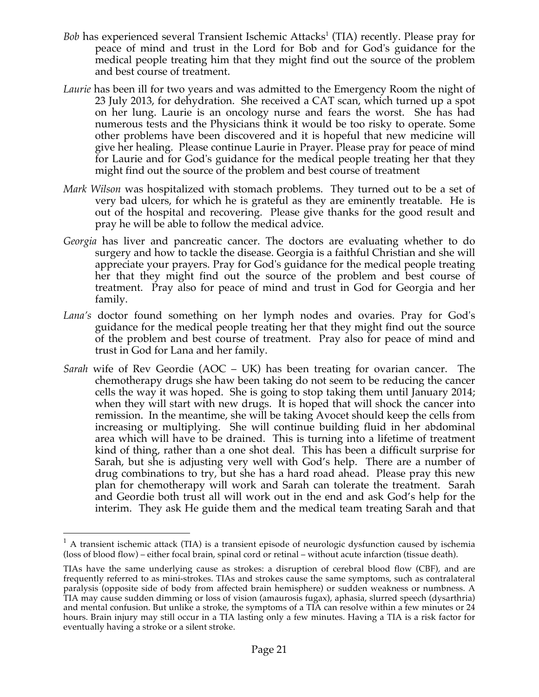- *Bob* has experienced several Transient Ischemic Attacks<sup>1</sup> (TIA) recently. Please pray for peace of mind and trust in the Lord for Bob and for God's guidance for the medical people treating him that they might find out the source of the problem and best course of treatment.
- *Laurie* has been ill for two years and was admitted to the Emergency Room the night of 23 July 2013, for dehydration. She received a CAT scan, which turned up a spot on her lung. Laurie is an oncology nurse and fears the worst. She has had numerous tests and the Physicians think it would be too risky to operate. Some other problems have been discovered and it is hopeful that new medicine will give her healing. Please continue Laurie in Prayer. Please pray for peace of mind for Laurie and for God's guidance for the medical people treating her that they might find out the source of the problem and best course of treatment
- *Mark Wilson* was hospitalized with stomach problems. They turned out to be a set of very bad ulcers, for which he is grateful as they are eminently treatable. He is out of the hospital and recovering. Please give thanks for the good result and pray he will be able to follow the medical advice.
- *Georgia* has liver and pancreatic cancer. The doctors are evaluating whether to do surgery and how to tackle the disease. Georgia is a faithful Christian and she will appreciate your prayers. Pray for God's guidance for the medical people treating her that they might find out the source of the problem and best course of treatment. Pray also for peace of mind and trust in God for Georgia and her family.
- *Lana's* doctor found something on her lymph nodes and ovaries. Pray for God's guidance for the medical people treating her that they might find out the source of the problem and best course of treatment. Pray also for peace of mind and trust in God for Lana and her family.
- *Sarah* wife of Rev Geordie (AOC UK) has been treating for ovarian cancer. The chemotherapy drugs she haw been taking do not seem to be reducing the cancer cells the way it was hoped. She is going to stop taking them until January 2014; when they will start with new drugs. It is hoped that will shock the cancer into remission. In the meantime, she will be taking Avocet should keep the cells from increasing or multiplying. She will continue building fluid in her abdominal area which will have to be drained. This is turning into a lifetime of treatment kind of thing, rather than a one shot deal. This has been a difficult surprise for Sarah, but she is adjusting very well with God's help. There are a number of drug combinations to try, but she has a hard road ahead. Please pray this new plan for chemotherapy will work and Sarah can tolerate the treatment. Sarah and Geordie both trust all will work out in the end and ask God's help for the interim. They ask He guide them and the medical team treating Sarah and that

 $1$  A transient ischemic attack (TIA) is a transient episode of neurologic dysfunction caused by ischemia (loss of blood flow) – either focal brain, spinal cord or retinal – without acute infarction (tissue death).

TIAs have the same underlying cause as strokes: a disruption of cerebral blood flow (CBF), and are frequently referred to as mini-strokes. TIAs and strokes cause the same symptoms, such as contralateral paralysis (opposite side of body from affected brain hemisphere) or sudden weakness or numbness. A TIA may cause sudden dimming or loss of vision (amaurosis fugax), aphasia, slurred speech (dysarthria) and mental confusion. But unlike a stroke, the symptoms of a TIA can resolve within a few minutes or 24 hours. Brain injury may still occur in a TIA lasting only a few minutes. Having a TIA is a risk factor for eventually having a stroke or a silent stroke.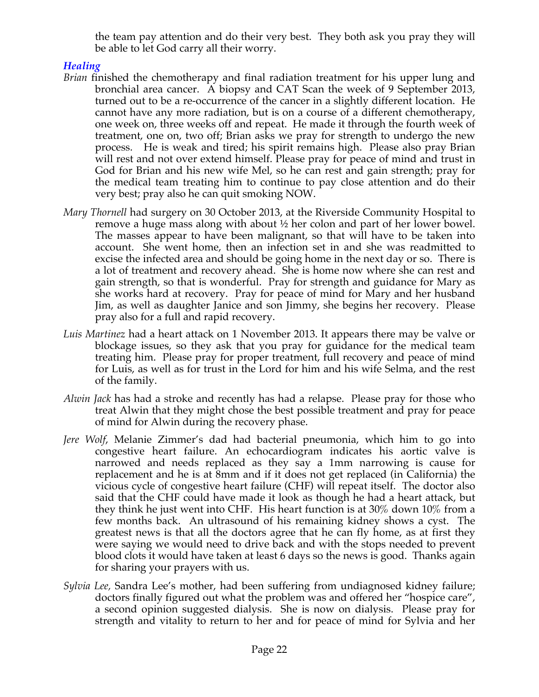the team pay attention and do their very best. They both ask you pray they will be able to let God carry all their worry.

# *Healing*

- *Brian* finished the chemotherapy and final radiation treatment for his upper lung and bronchial area cancer. A biopsy and CAT Scan the week of 9 September 2013, turned out to be a re-occurrence of the cancer in a slightly different location. He cannot have any more radiation, but is on a course of a different chemotherapy, one week on, three weeks off and repeat. He made it through the fourth week of treatment, one on, two off; Brian asks we pray for strength to undergo the new process. He is weak and tired; his spirit remains high. Please also pray Brian will rest and not over extend himself. Please pray for peace of mind and trust in God for Brian and his new wife Mel, so he can rest and gain strength; pray for the medical team treating him to continue to pay close attention and do their very best; pray also he can quit smoking NOW.
- *Mary Thornell* had surgery on 30 October 2013, at the Riverside Community Hospital to remove a huge mass along with about ½ her colon and part of her lower bowel. The masses appear to have been malignant, so that will have to be taken into account. She went home, then an infection set in and she was readmitted to excise the infected area and should be going home in the next day or so. There is a lot of treatment and recovery ahead. She is home now where she can rest and gain strength, so that is wonderful. Pray for strength and guidance for Mary as she works hard at recovery. Pray for peace of mind for Mary and her husband Jim, as well as daughter Janice and son Jimmy, she begins her recovery. Please pray also for a full and rapid recovery.
- *Luis Martinez* had a heart attack on 1 November 2013. It appears there may be valve or blockage issues, so they ask that you pray for guidance for the medical team treating him. Please pray for proper treatment, full recovery and peace of mind for Luis, as well as for trust in the Lord for him and his wife Selma, and the rest of the family.
- *Alwin Jack* has had a stroke and recently has had a relapse. Please pray for those who treat Alwin that they might chose the best possible treatment and pray for peace of mind for Alwin during the recovery phase.
- *Jere Wolf*, Melanie Zimmer's dad had bacterial pneumonia, which him to go into congestive heart failure. An echocardiogram indicates his aortic valve is narrowed and needs replaced as they say a 1mm narrowing is cause for replacement and he is at 8mm and if it does not get replaced (in California) the vicious cycle of congestive heart failure (CHF) will repeat itself. The doctor also said that the CHF could have made it look as though he had a heart attack, but they think he just went into CHF. His heart function is at 30% down 10% from a few months back. An ultrasound of his remaining kidney shows a cyst. The greatest news is that all the doctors agree that he can fly home, as at first they were saying we would need to drive back and with the stops needed to prevent blood clots it would have taken at least 6 days so the news is good. Thanks again for sharing your prayers with us.
- *Sylvia Lee,* Sandra Lee's mother, had been suffering from undiagnosed kidney failure; doctors finally figured out what the problem was and offered her "hospice care", a second opinion suggested dialysis. She is now on dialysis. Please pray for strength and vitality to return to her and for peace of mind for Sylvia and her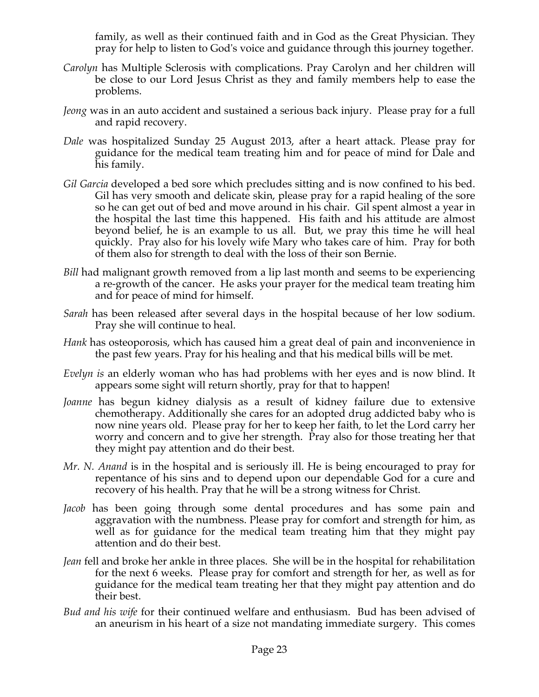family, as well as their continued faith and in God as the Great Physician. They pray for help to listen to God's voice and guidance through this journey together.

- *Carolyn* has Multiple Sclerosis with complications. Pray Carolyn and her children will be close to our Lord Jesus Christ as they and family members help to ease the problems.
- *Jeong* was in an auto accident and sustained a serious back injury. Please pray for a full and rapid recovery.
- *Dale* was hospitalized Sunday 25 August 2013, after a heart attack. Please pray for guidance for the medical team treating him and for peace of mind for Dale and his family.
- *Gil Garcia* developed a bed sore which precludes sitting and is now confined to his bed. Gil has very smooth and delicate skin, please pray for a rapid healing of the sore so he can get out of bed and move around in his chair. Gil spent almost a year in the hospital the last time this happened. His faith and his attitude are almost beyond belief, he is an example to us all. But, we pray this time he will heal quickly. Pray also for his lovely wife Mary who takes care of him. Pray for both of them also for strength to deal with the loss of their son Bernie.
- *Bill* had malignant growth removed from a lip last month and seems to be experiencing a re-growth of the cancer. He asks your prayer for the medical team treating him and for peace of mind for himself.
- *Sarah* has been released after several days in the hospital because of her low sodium. Pray she will continue to heal.
- *Hank* has osteoporosis, which has caused him a great deal of pain and inconvenience in the past few years. Pray for his healing and that his medical bills will be met.
- *Evelyn is* an elderly woman who has had problems with her eyes and is now blind. It appears some sight will return shortly, pray for that to happen!
- *Joanne* has begun kidney dialysis as a result of kidney failure due to extensive chemotherapy. Additionally she cares for an adopted drug addicted baby who is now nine years old. Please pray for her to keep her faith, to let the Lord carry her worry and concern and to give her strength. Pray also for those treating her that they might pay attention and do their best.
- *Mr. N. Anand* is in the hospital and is seriously ill. He is being encouraged to pray for repentance of his sins and to depend upon our dependable God for a cure and recovery of his health. Pray that he will be a strong witness for Christ.
- *Jacob* has been going through some dental procedures and has some pain and aggravation with the numbness. Please pray for comfort and strength for him, as well as for guidance for the medical team treating him that they might pay attention and do their best.
- *Jean* fell and broke her ankle in three places. She will be in the hospital for rehabilitation for the next 6 weeks. Please pray for comfort and strength for her, as well as for guidance for the medical team treating her that they might pay attention and do their best.
- *Bud and his wife* for their continued welfare and enthusiasm. Bud has been advised of an aneurism in his heart of a size not mandating immediate surgery. This comes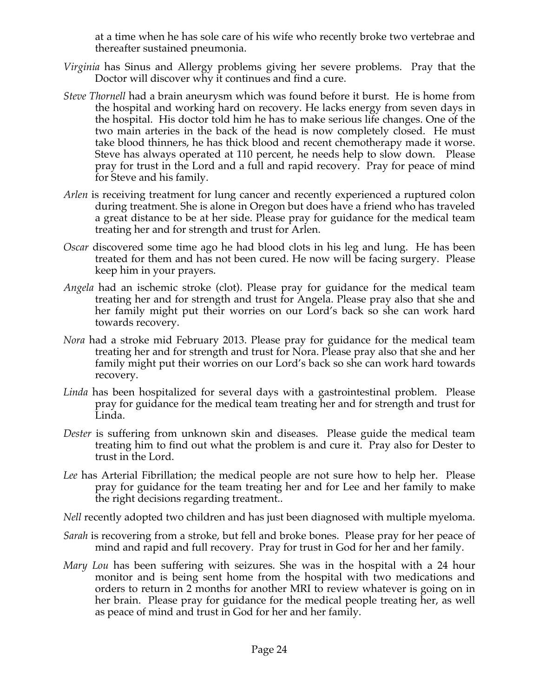at a time when he has sole care of his wife who recently broke two vertebrae and thereafter sustained pneumonia.

- *Virginia* has Sinus and Allergy problems giving her severe problems. Pray that the Doctor will discover why it continues and find a cure.
- *Steve Thornell* had a brain aneurysm which was found before it burst. He is home from the hospital and working hard on recovery. He lacks energy from seven days in the hospital. His doctor told him he has to make serious life changes. One of the two main arteries in the back of the head is now completely closed. He must take blood thinners, he has thick blood and recent chemotherapy made it worse. Steve has always operated at 110 percent, he needs help to slow down. Please pray for trust in the Lord and a full and rapid recovery. Pray for peace of mind for Steve and his family.
- *Arlen* is receiving treatment for lung cancer and recently experienced a ruptured colon during treatment. She is alone in Oregon but does have a friend who has traveled a great distance to be at her side. Please pray for guidance for the medical team treating her and for strength and trust for Arlen.
- *Oscar* discovered some time ago he had blood clots in his leg and lung. He has been treated for them and has not been cured. He now will be facing surgery. Please keep him in your prayers.
- *Angela* had an ischemic stroke (clot). Please pray for guidance for the medical team treating her and for strength and trust for Angela. Please pray also that she and her family might put their worries on our Lord's back so she can work hard towards recovery.
- *Nora* had a stroke mid February 2013. Please pray for guidance for the medical team treating her and for strength and trust for Nora. Please pray also that she and her family might put their worries on our Lord's back so she can work hard towards recovery.
- *Linda* has been hospitalized for several days with a gastrointestinal problem. Please pray for guidance for the medical team treating her and for strength and trust for Linda.
- *Dester* is suffering from unknown skin and diseases. Please guide the medical team treating him to find out what the problem is and cure it. Pray also for Dester to trust in the Lord.
- *Lee* has Arterial Fibrillation; the medical people are not sure how to help her. Please pray for guidance for the team treating her and for Lee and her family to make the right decisions regarding treatment..
- *Nell* recently adopted two children and has just been diagnosed with multiple myeloma.
- *Sarah* is recovering from a stroke, but fell and broke bones. Please pray for her peace of mind and rapid and full recovery. Pray for trust in God for her and her family.
- *Mary Lou* has been suffering with seizures. She was in the hospital with a 24 hour monitor and is being sent home from the hospital with two medications and orders to return in 2 months for another MRI to review whatever is going on in her brain. Please pray for guidance for the medical people treating her, as well as peace of mind and trust in God for her and her family.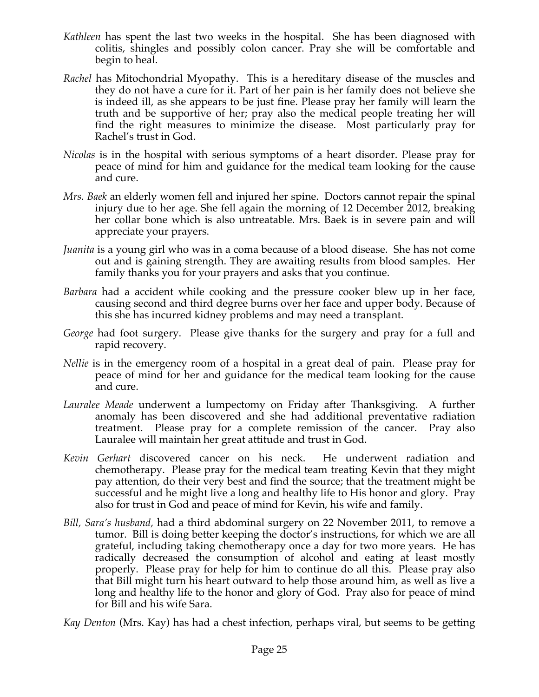- *Kathleen* has spent the last two weeks in the hospital. She has been diagnosed with colitis, shingles and possibly colon cancer. Pray she will be comfortable and begin to heal.
- *Rachel* has Mitochondrial Myopathy. This is a hereditary disease of the muscles and they do not have a cure for it. Part of her pain is her family does not believe she is indeed ill, as she appears to be just fine. Please pray her family will learn the truth and be supportive of her; pray also the medical people treating her will find the right measures to minimize the disease. Most particularly pray for Rachel's trust in God.
- *Nicolas* is in the hospital with serious symptoms of a heart disorder. Please pray for peace of mind for him and guidance for the medical team looking for the cause and cure.
- *Mrs. Baek* an elderly women fell and injured her spine. Doctors cannot repair the spinal injury due to her age. She fell again the morning of 12 December 2012, breaking her collar bone which is also untreatable. Mrs. Baek is in severe pain and will appreciate your prayers.
- *Juanita* is a young girl who was in a coma because of a blood disease. She has not come out and is gaining strength. They are awaiting results from blood samples. Her family thanks you for your prayers and asks that you continue.
- *Barbara* had a accident while cooking and the pressure cooker blew up in her face, causing second and third degree burns over her face and upper body. Because of this she has incurred kidney problems and may need a transplant.
- *George* had foot surgery. Please give thanks for the surgery and pray for a full and rapid recovery.
- *Nellie* is in the emergency room of a hospital in a great deal of pain. Please pray for peace of mind for her and guidance for the medical team looking for the cause and cure.
- *Lauralee Meade* underwent a lumpectomy on Friday after Thanksgiving. A further anomaly has been discovered and she had additional preventative radiation treatment. Please pray for a complete remission of the cancer. Pray also Lauralee will maintain her great attitude and trust in God.
- *Kevin Gerhart* discovered cancer on his neck. He underwent radiation and chemotherapy. Please pray for the medical team treating Kevin that they might pay attention, do their very best and find the source; that the treatment might be successful and he might live a long and healthy life to His honor and glory. Pray also for trust in God and peace of mind for Kevin, his wife and family.
- *Bill, Sara's husband,* had a third abdominal surgery on 22 November 2011, to remove a tumor. Bill is doing better keeping the doctor's instructions, for which we are all grateful, including taking chemotherapy once a day for two more years. He has radically decreased the consumption of alcohol and eating at least mostly properly. Please pray for help for him to continue do all this. Please pray also that Bill might turn his heart outward to help those around him, as well as live a long and healthy life to the honor and glory of God. Pray also for peace of mind for Bill and his wife Sara.

*Kay Denton* (Mrs. Kay) has had a chest infection, perhaps viral, but seems to be getting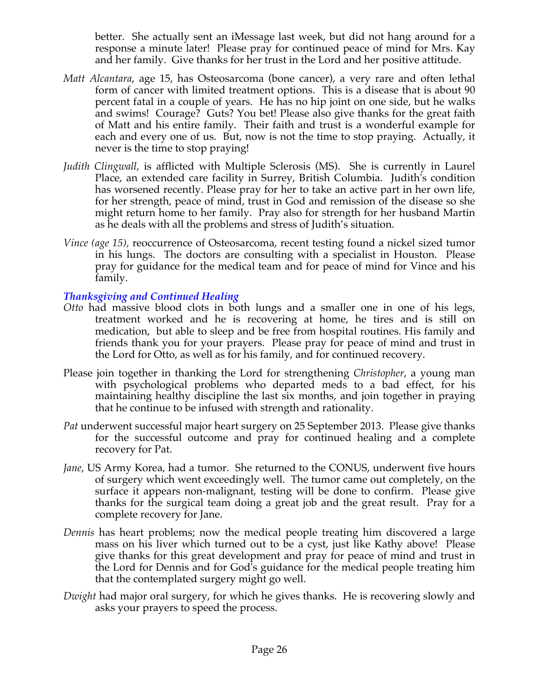better. She actually sent an iMessage last week, but did not hang around for a response a minute later! Please pray for continued peace of mind for Mrs. Kay and her family. Give thanks for her trust in the Lord and her positive attitude.

- *Matt Alcantara*, age 15, has Osteosarcoma (bone cancer), a very rare and often lethal form of cancer with limited treatment options. This is a disease that is about 90 percent fatal in a couple of years. He has no hip joint on one side, but he walks and swims! Courage? Guts? You bet! Please also give thanks for the great faith of Matt and his entire family. Their faith and trust is a wonderful example for each and every one of us. But, now is not the time to stop praying. Actually, it never is the time to stop praying!
- *Judith Clingwall*, is afflicted with Multiple Sclerosis (MS). She is currently in Laurel Place, an extended care facility in Surrey, British Columbia. Judith's condition has worsened recently. Please pray for her to take an active part in her own life, for her strength, peace of mind, trust in God and remission of the disease so she might return home to her family. Pray also for strength for her husband Martin as he deals with all the problems and stress of Judith's situation.
- *Vince (age 15),* reoccurrence of Osteosarcoma, recent testing found a nickel sized tumor in his lungs. The doctors are consulting with a specialist in Houston. Please pray for guidance for the medical team and for peace of mind for Vince and his family.

# *Thanksgiving and Continued Healing*

- *Otto* had massive blood clots in both lungs and a smaller one in one of his legs, treatment worked and he is recovering at home, he tires and is still on medication, but able to sleep and be free from hospital routines. His family and friends thank you for your prayers. Please pray for peace of mind and trust in the Lord for Otto, as well as for his family, and for continued recovery.
- Please join together in thanking the Lord for strengthening *Christopher*, a young man with psychological problems who departed meds to a bad effect, for his maintaining healthy discipline the last six months, and join together in praying that he continue to be infused with strength and rationality.
- *Pat* underwent successful major heart surgery on 25 September 2013. Please give thanks for the successful outcome and pray for continued healing and a complete recovery for Pat.
- *Jane*, US Army Korea, had a tumor. She returned to the CONUS, underwent five hours of surgery which went exceedingly well. The tumor came out completely, on the surface it appears non-malignant, testing will be done to confirm. Please give thanks for the surgical team doing a great job and the great result. Pray for a complete recovery for Jane.
- *Dennis* has heart problems; now the medical people treating him discovered a large mass on his liver which turned out to be a cyst, just like Kathy above! Please give thanks for this great development and pray for peace of mind and trust in the Lord for Dennis and for God's guidance for the medical people treating him that the contemplated surgery might go well.
- *Dwight* had major oral surgery, for which he gives thanks. He is recovering slowly and asks your prayers to speed the process.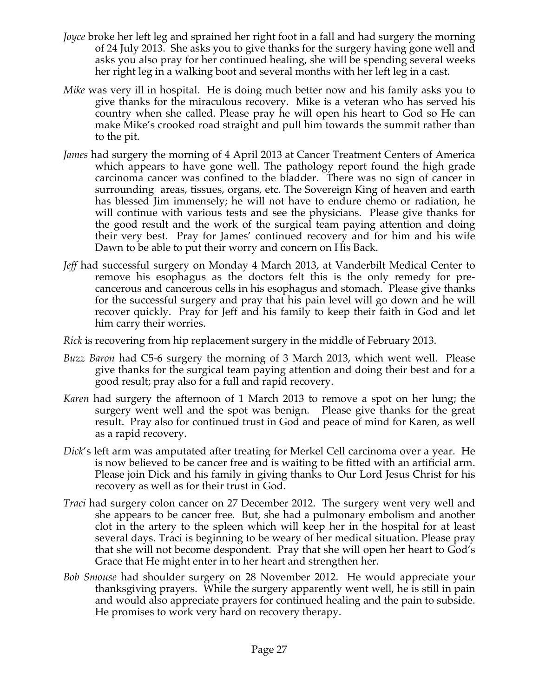- *Joyce* broke her left leg and sprained her right foot in a fall and had surgery the morning of 24 July 2013. She asks you to give thanks for the surgery having gone well and asks you also pray for her continued healing, she will be spending several weeks her right leg in a walking boot and several months with her left leg in a cast.
- *Mike* was very ill in hospital. He is doing much better now and his family asks you to give thanks for the miraculous recovery. Mike is a veteran who has served his country when she called. Please pray he will open his heart to God so He can make Mike's crooked road straight and pull him towards the summit rather than to the pit.
- *James* had surgery the morning of 4 April 2013 at Cancer Treatment Centers of America which appears to have gone well. The pathology report found the high grade carcinoma cancer was confined to the bladder. There was no sign of cancer in surrounding areas, tissues, organs, etc. The Sovereign King of heaven and earth has blessed Jim immensely; he will not have to endure chemo or radiation, he will continue with various tests and see the physicians. Please give thanks for the good result and the work of the surgical team paying attention and doing their very best. Pray for James' continued recovery and for him and his wife Dawn to be able to put their worry and concern on His Back.
- *Jeff* had successful surgery on Monday 4 March 2013, at Vanderbilt Medical Center to remove his esophagus as the doctors felt this is the only remedy for precancerous and cancerous cells in his esophagus and stomach. Please give thanks for the successful surgery and pray that his pain level will go down and he will recover quickly. Pray for Jeff and his family to keep their faith in God and let him carry their worries.
- *Rick* is recovering from hip replacement surgery in the middle of February 2013.
- *Buzz Baron* had C5-6 surgery the morning of 3 March 2013, which went well. Please give thanks for the surgical team paying attention and doing their best and for a good result; pray also for a full and rapid recovery.
- *Karen* had surgery the afternoon of 1 March 2013 to remove a spot on her lung; the surgery went well and the spot was benign. Please give thanks for the great result. Pray also for continued trust in God and peace of mind for Karen, as well as a rapid recovery.
- *Dick*'s left arm was amputated after treating for Merkel Cell carcinoma over a year. He is now believed to be cancer free and is waiting to be fitted with an artificial arm. Please join Dick and his family in giving thanks to Our Lord Jesus Christ for his recovery as well as for their trust in God.
- *Traci* had surgery colon cancer on 27 December 2012. The surgery went very well and she appears to be cancer free. But, she had a pulmonary embolism and another clot in the artery to the spleen which will keep her in the hospital for at least several days. Traci is beginning to be weary of her medical situation. Please pray that she will not become despondent. Pray that she will open her heart to God's Grace that He might enter in to her heart and strengthen her.
- *Bob Smouse* had shoulder surgery on 28 November 2012. He would appreciate your thanksgiving prayers. While the surgery apparently went well, he is still in pain and would also appreciate prayers for continued healing and the pain to subside. He promises to work very hard on recovery therapy.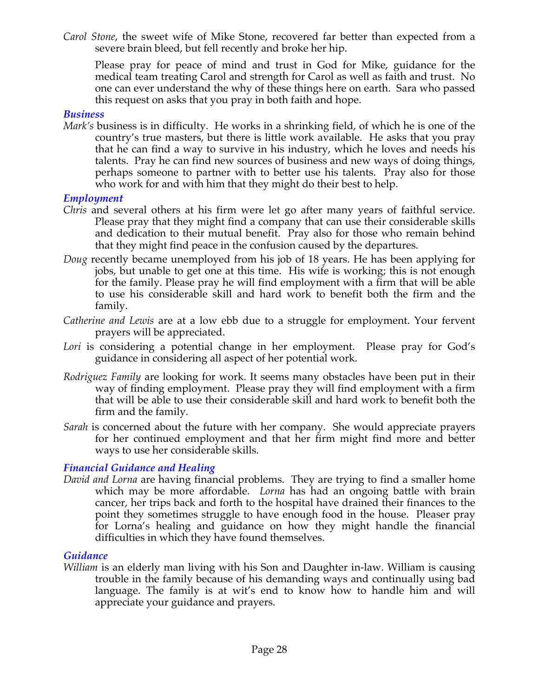*Carol Stone*, the sweet wife of Mike Stone, recovered far better than expected from a severe brain bleed, but fell recently and broke her hip.

Please pray for peace of mind and trust in God for Mike, guidance for the medical team treating Carol and strength for Carol as well as faith and trust. No one can ever understand the why of these things here on earth. Sara who passed this request on asks that you pray in both faith and hope.

#### *Business*

*Mark's* business is in difficulty. He works in a shrinking field, of which he is one of the country's true masters, but there is little work available. He asks that you pray that he can find a way to survive in his industry, which he loves and needs his talents. Pray he can find new sources of business and new ways of doing things, perhaps someone to partner with to better use his talents. Pray also for those who work for and with him that they might do their best to help.

#### *Employment*

- *Chris* and several others at his firm were let go after many years of faithful service. Please pray that they might find a company that can use their considerable skills and dedication to their mutual benefit. Pray also for those who remain behind that they might find peace in the confusion caused by the departures.
- *Doug* recently became unemployed from his job of 18 years. He has been applying for jobs, but unable to get one at this time. His wife is working; this is not enough for the family. Please pray he will find employment with a firm that will be able to use his considerable skill and hard work to benefit both the firm and the family.
- *Catherine and Lewis* are at a low ebb due to a struggle for employment. Your fervent prayers will be appreciated.
- *Lori* is considering a potential change in her employment. Please pray for God's guidance in considering all aspect of her potential work.
- *Rodriguez Family* are looking for work. It seems many obstacles have been put in their way of finding employment. Please pray they will find employment with a firm that will be able to use their considerable skill and hard work to benefit both the firm and the family.
- *Sarah* is concerned about the future with her company. She would appreciate prayers for her continued employment and that her firm might find more and better ways to use her considerable skills.

## *Financial Guidance and Healing*

*David and Lorna* are having financial problems. They are trying to find a smaller home which may be more affordable. *Lorna* has had an ongoing battle with brain cancer, her trips back and forth to the hospital have drained their finances to the point they sometimes struggle to have enough food in the house. Pleaser pray for Lorna's healing and guidance on how they might handle the financial difficulties in which they have found themselves.

#### *Guidance*

*William* is an elderly man living with his Son and Daughter in-law. William is causing trouble in the family because of his demanding ways and continually using bad language. The family is at wit's end to know how to handle him and will appreciate your guidance and prayers.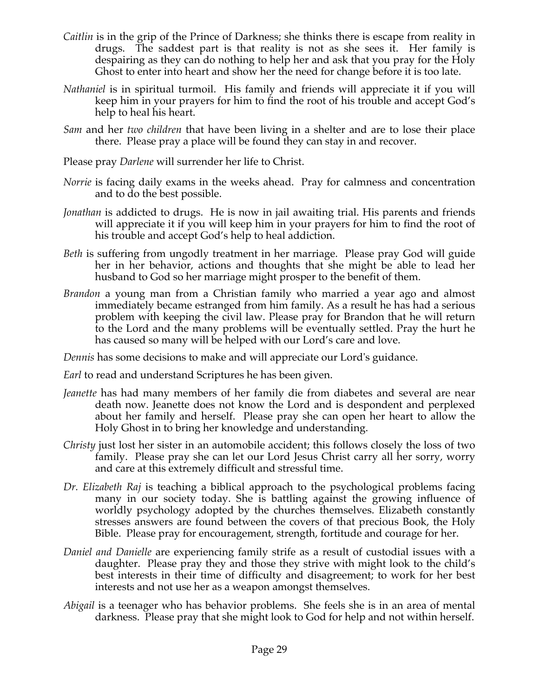- *Caitlin* is in the grip of the Prince of Darkness; she thinks there is escape from reality in drugs. The saddest part is that reality is not as she sees it. Her family is despairing as they can do nothing to help her and ask that you pray for the Holy Ghost to enter into heart and show her the need for change before it is too late.
- *Nathaniel* is in spiritual turmoil. His family and friends will appreciate it if you will keep him in your prayers for him to find the root of his trouble and accept God's help to heal his heart.
- *Sam* and her *two children* that have been living in a shelter and are to lose their place there. Please pray a place will be found they can stay in and recover.
- Please pray *Darlene* will surrender her life to Christ.
- *Norrie* is facing daily exams in the weeks ahead. Pray for calmness and concentration and to do the best possible.
- *Jonathan* is addicted to drugs. He is now in jail awaiting trial. His parents and friends will appreciate it if you will keep him in your prayers for him to find the root of his trouble and accept God's help to heal addiction.
- *Beth* is suffering from ungodly treatment in her marriage. Please pray God will guide her in her behavior, actions and thoughts that she might be able to lead her husband to God so her marriage might prosper to the benefit of them.
- *Brandon* a young man from a Christian family who married a year ago and almost immediately became estranged from him family. As a result he has had a serious problem with keeping the civil law. Please pray for Brandon that he will return to the Lord and the many problems will be eventually settled. Pray the hurt he has caused so many will be helped with our Lord's care and love.

*Dennis* has some decisions to make and will appreciate our Lord's guidance.

*Earl* to read and understand Scriptures he has been given.

- *Jeanette* has had many members of her family die from diabetes and several are near death now. Jeanette does not know the Lord and is despondent and perplexed about her family and herself. Please pray she can open her heart to allow the Holy Ghost in to bring her knowledge and understanding.
- *Christy* just lost her sister in an automobile accident; this follows closely the loss of two family. Please pray she can let our Lord Jesus Christ carry all her sorry, worry and care at this extremely difficult and stressful time.
- *Dr. Elizabeth Raj* is teaching a biblical approach to the psychological problems facing many in our society today. She is battling against the growing influence of worldly psychology adopted by the churches themselves. Elizabeth constantly stresses answers are found between the covers of that precious Book, the Holy Bible. Please pray for encouragement, strength, fortitude and courage for her.
- *Daniel and Danielle* are experiencing family strife as a result of custodial issues with a daughter. Please pray they and those they strive with might look to the child's best interests in their time of difficulty and disagreement; to work for her best interests and not use her as a weapon amongst themselves.
- *Abigail* is a teenager who has behavior problems. She feels she is in an area of mental darkness. Please pray that she might look to God for help and not within herself.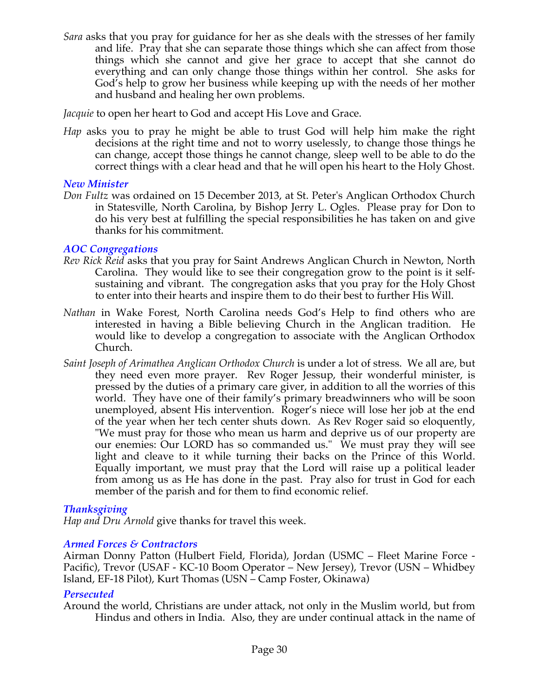*Sara* asks that you pray for guidance for her as she deals with the stresses of her family and life. Pray that she can separate those things which she can affect from those things which she cannot and give her grace to accept that she cannot do everything and can only change those things within her control. She asks for God's help to grow her business while keeping up with the needs of her mother and husband and healing her own problems.

*Jacquie* to open her heart to God and accept His Love and Grace.

*Hap* asks you to pray he might be able to trust God will help him make the right decisions at the right time and not to worry uselessly, to change those things he can change, accept those things he cannot change, sleep well to be able to do the correct things with a clear head and that he will open his heart to the Holy Ghost.

# *New Minister*

*Don Fultz* was ordained on 15 December 2013, at St. Peter's Anglican Orthodox Church in Statesville, North Carolina, by Bishop Jerry L. Ogles. Please pray for Don to do his very best at fulfilling the special responsibilities he has taken on and give thanks for his commitment.

## *AOC Congregations*

- *Rev Rick Reid* asks that you pray for Saint Andrews Anglican Church in Newton, North Carolina. They would like to see their congregation grow to the point is it selfsustaining and vibrant. The congregation asks that you pray for the Holy Ghost to enter into their hearts and inspire them to do their best to further His Will.
- *Nathan* in Wake Forest, North Carolina needs God's Help to find others who are interested in having a Bible believing Church in the Anglican tradition. He would like to develop a congregation to associate with the Anglican Orthodox Church.
- *Saint Joseph of Arimathea Anglican Orthodox Church* is under a lot of stress. We all are, but they need even more prayer. Rev Roger Jessup, their wonderful minister, is pressed by the duties of a primary care giver, in addition to all the worries of this world. They have one of their family's primary breadwinners who will be soon unemployed, absent His intervention. Roger's niece will lose her job at the end of the year when her tech center shuts down. As Rev Roger said so eloquently, "We must pray for those who mean us harm and deprive us of our property are our enemies: Our LORD has so commanded us." We must pray they will see light and cleave to it while turning their backs on the Prince of this World. Equally important, we must pray that the Lord will raise up a political leader from among us as He has done in the past. Pray also for trust in God for each member of the parish and for them to find economic relief.

# *Thanksgiving*

*Hap and Dru Arnold* give thanks for travel this week.

## *Armed Forces & Contractors*

Airman Donny Patton (Hulbert Field, Florida), Jordan (USMC – Fleet Marine Force - Pacific), Trevor (USAF - KC-10 Boom Operator – New Jersey), Trevor (USN – Whidbey Island, EF-18 Pilot), Kurt Thomas (USN – Camp Foster, Okinawa)

# *Persecuted*

Around the world, Christians are under attack, not only in the Muslim world, but from Hindus and others in India. Also, they are under continual attack in the name of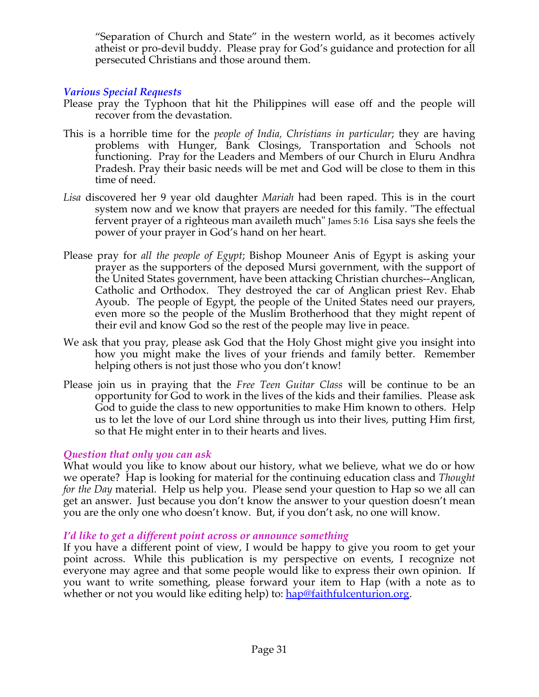"Separation of Church and State" in the western world, as it becomes actively atheist or pro-devil buddy. Please pray for God's guidance and protection for all persecuted Christians and those around them.

## *Various Special Requests*

- Please pray the Typhoon that hit the Philippines will ease off and the people will recover from the devastation.
- This is a horrible time for the *people of India, Christians in particular*; they are having problems with Hunger, Bank Closings, Transportation and Schools not functioning. Pray for the Leaders and Members of our Church in Eluru Andhra Pradesh. Pray their basic needs will be met and God will be close to them in this time of need.
- *Lisa* discovered her 9 year old daughter *Mariah* had been raped. This is in the court system now and we know that prayers are needed for this family. "The effectual fervent prayer of a righteous man availeth much" James 5:16 Lisa says she feels the power of your prayer in God's hand on her heart.
- Please pray for *all the people of Egypt*; Bishop Mouneer Anis of Egypt is asking your prayer as the supporters of the deposed Mursi government, with the support of the United States government, have been attacking Christian churches--Anglican, Catholic and Orthodox. They destroyed the car of Anglican priest Rev. Ehab Ayoub. The people of Egypt, the people of the United States need our prayers, even more so the people of the Muslim Brotherhood that they might repent of their evil and know God so the rest of the people may live in peace.
- We ask that you pray, please ask God that the Holy Ghost might give you insight into how you might make the lives of your friends and family better. Remember helping others is not just those who you don't know!
- Please join us in praying that the *Free Teen Guitar Class* will be continue to be an opportunity for God to work in the lives of the kids and their families. Please ask God to guide the class to new opportunities to make Him known to others. Help us to let the love of our Lord shine through us into their lives, putting Him first, so that He might enter in to their hearts and lives.

# *Question that only you can ask*

What would you like to know about our history, what we believe, what we do or how we operate? Hap is looking for material for the continuing education class and *Thought for the Day* material. Help us help you. Please send your question to Hap so we all can get an answer. Just because you don't know the answer to your question doesn't mean you are the only one who doesn't know. But, if you don't ask, no one will know.

## *I'd like to get a different point across or announce something*

If you have a different point of view, I would be happy to give you room to get your point across. While this publication is my perspective on events, I recognize not everyone may agree and that some people would like to express their own opinion. If you want to write something, please forward your item to Hap (with a note as to whether or not you would like editing help) to: hap@faithfulcenturion.org.